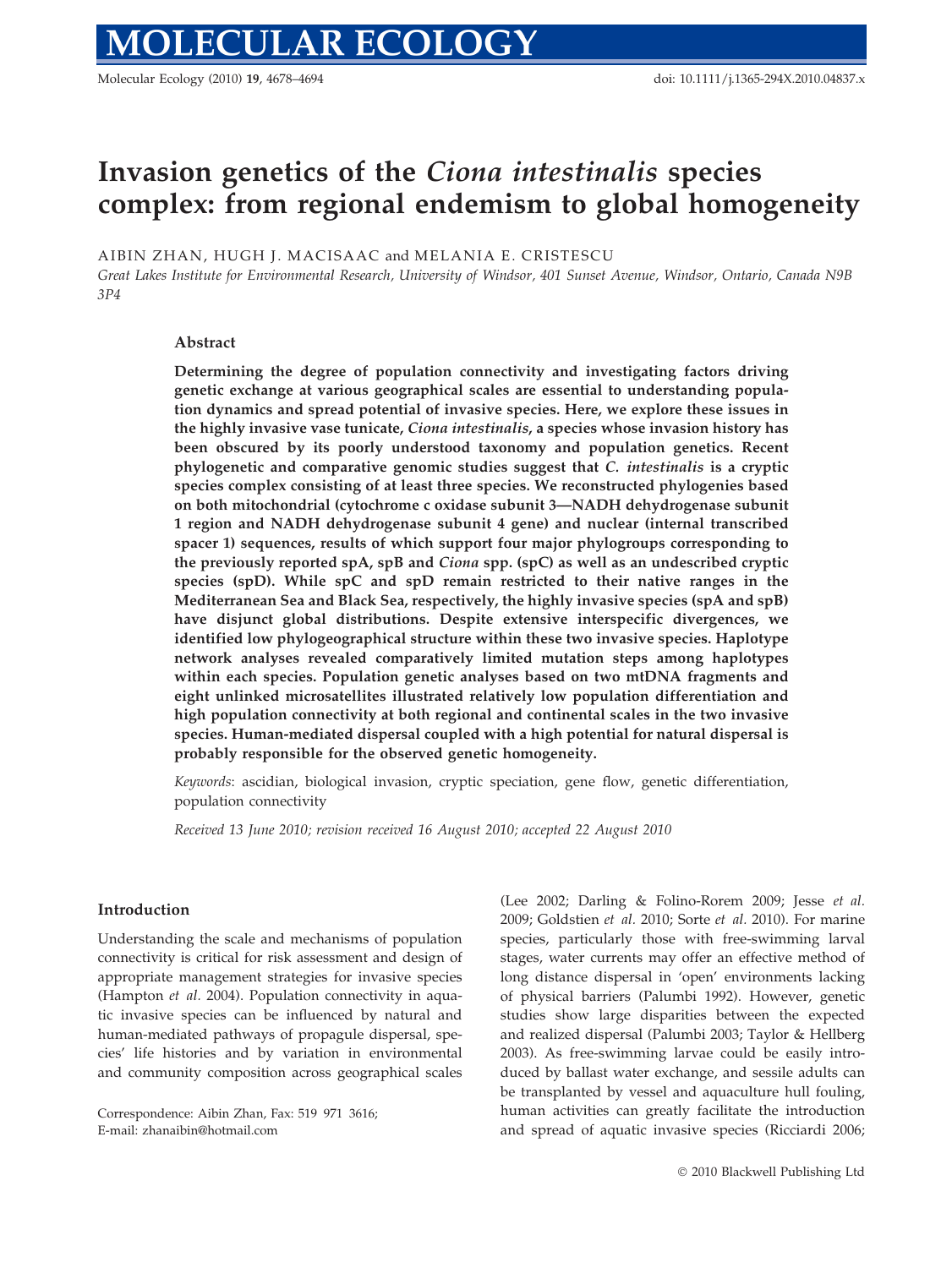Molecular Ecology (2010) 19, 4678–4694 doi: 10.1111/j.1365-294X.2010.04837.x

# Invasion genetics of the Ciona intestinalis species complex: from regional endemism to global homogeneity

AIBIN ZHAN, HUGH J. MACISAAC and MELANIA E. CRISTESCU

Great Lakes Institute for Environmental Research, University of Windsor, 401 Sunset Avenue, Windsor, Ontario, Canada N9B 3P4

## Abstract

Determining the degree of population connectivity and investigating factors driving genetic exchange at various geographical scales are essential to understanding population dynamics and spread potential of invasive species. Here, we explore these issues in the highly invasive vase tunicate, Ciona intestinalis, a species whose invasion history has been obscured by its poorly understood taxonomy and population genetics. Recent phylogenetic and comparative genomic studies suggest that C. intestinalis is a cryptic species complex consisting of at least three species. We reconstructed phylogenies based on both mitochondrial (cytochrome c oxidase subunit 3—NADH dehydrogenase subunit 1 region and NADH dehydrogenase subunit 4 gene) and nuclear (internal transcribed spacer 1) sequences, results of which support four major phylogroups corresponding to the previously reported spA, spB and Ciona spp. (spC) as well as an undescribed cryptic species (spD). While spC and spD remain restricted to their native ranges in the Mediterranean Sea and Black Sea, respectively, the highly invasive species (spA and spB) have disjunct global distributions. Despite extensive interspecific divergences, we identified low phylogeographical structure within these two invasive species. Haplotype network analyses revealed comparatively limited mutation steps among haplotypes within each species. Population genetic analyses based on two mtDNA fragments and eight unlinked microsatellites illustrated relatively low population differentiation and high population connectivity at both regional and continental scales in the two invasive species. Human-mediated dispersal coupled with a high potential for natural dispersal is probably responsible for the observed genetic homogeneity.

Keywords: ascidian, biological invasion, cryptic speciation, gene flow, genetic differentiation, population connectivity

Received 13 June 2010; revision received 16 August 2010; accepted 22 August 2010

## Introduction

Understanding the scale and mechanisms of population connectivity is critical for risk assessment and design of appropriate management strategies for invasive species (Hampton et al. 2004). Population connectivity in aquatic invasive species can be influenced by natural and human-mediated pathways of propagule dispersal, species' life histories and by variation in environmental and community composition across geographical scales

Correspondence: Aibin Zhan, Fax: 519 971 3616; E-mail: zhanaibin@hotmail.com

(Lee 2002; Darling & Folino-Rorem 2009; Jesse et al. 2009; Goldstien et al. 2010; Sorte et al. 2010). For marine species, particularly those with free-swimming larval stages, water currents may offer an effective method of long distance dispersal in 'open' environments lacking of physical barriers (Palumbi 1992). However, genetic studies show large disparities between the expected and realized dispersal (Palumbi 2003; Taylor & Hellberg 2003). As free-swimming larvae could be easily introduced by ballast water exchange, and sessile adults can be transplanted by vessel and aquaculture hull fouling, human activities can greatly facilitate the introduction and spread of aquatic invasive species (Ricciardi 2006;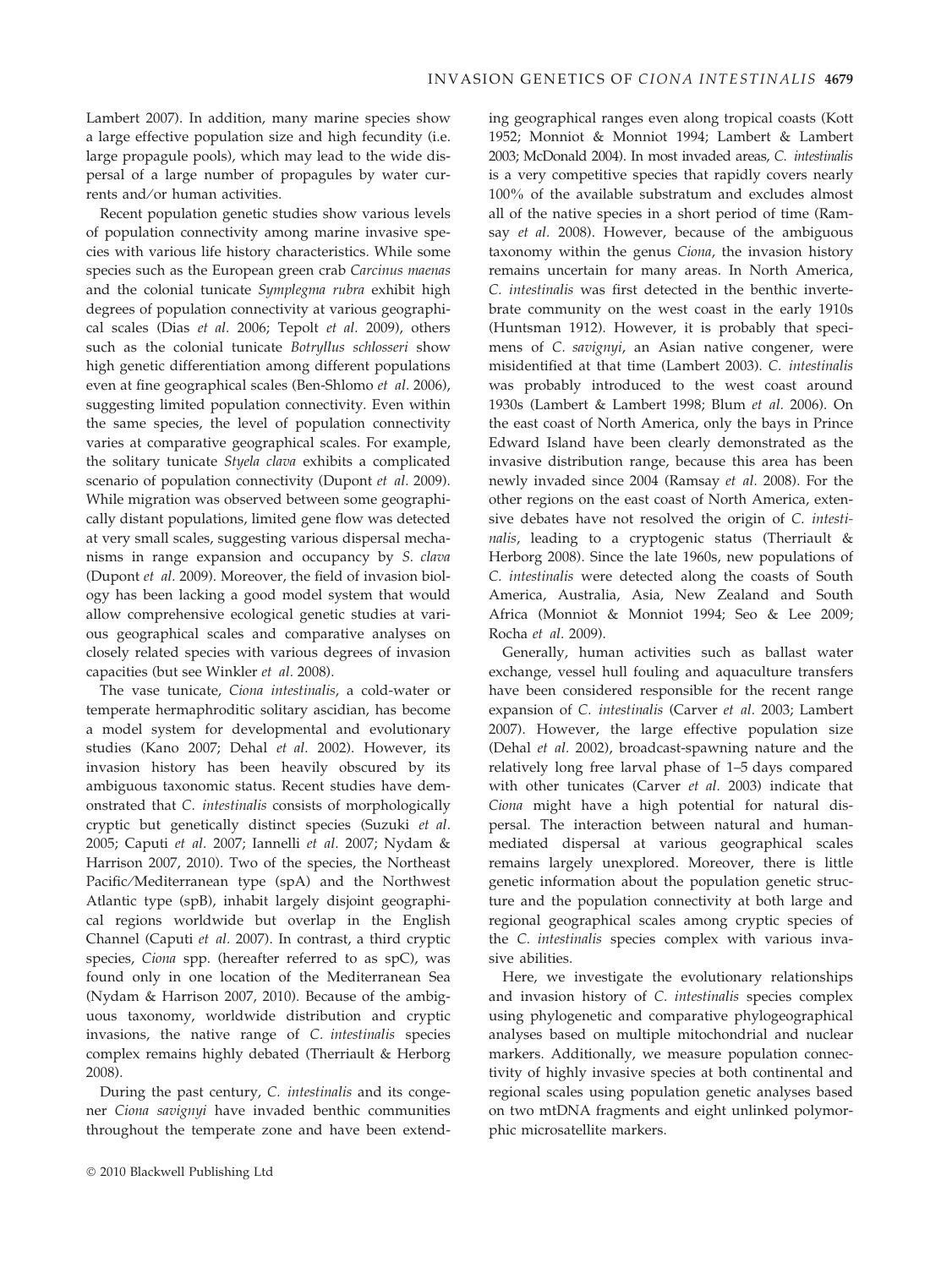Lambert 2007). In addition, many marine species show a large effective population size and high fecundity (i.e. large propagule pools), which may lead to the wide dispersal of a large number of propagules by water currents and/or human activities.

Recent population genetic studies show various levels of population connectivity among marine invasive species with various life history characteristics. While some species such as the European green crab Carcinus maenas and the colonial tunicate Symplegma rubra exhibit high degrees of population connectivity at various geographical scales (Dias et al. 2006; Tepolt et al. 2009), others such as the colonial tunicate Botryllus schlosseri show high genetic differentiation among different populations even at fine geographical scales (Ben-Shlomo et al. 2006), suggesting limited population connectivity. Even within the same species, the level of population connectivity varies at comparative geographical scales. For example, the solitary tunicate Styela clava exhibits a complicated scenario of population connectivity (Dupont et al. 2009). While migration was observed between some geographically distant populations, limited gene flow was detected at very small scales, suggesting various dispersal mechanisms in range expansion and occupancy by S. clava (Dupont et al. 2009). Moreover, the field of invasion biology has been lacking a good model system that would allow comprehensive ecological genetic studies at various geographical scales and comparative analyses on closely related species with various degrees of invasion capacities (but see Winkler et al. 2008).

The vase tunicate, Ciona intestinalis, a cold-water or temperate hermaphroditic solitary ascidian, has become a model system for developmental and evolutionary studies (Kano 2007; Dehal et al. 2002). However, its invasion history has been heavily obscured by its ambiguous taxonomic status. Recent studies have demonstrated that C. intestinalis consists of morphologically cryptic but genetically distinct species (Suzuki et al. 2005; Caputi et al. 2007; Iannelli et al. 2007; Nydam & Harrison 2007, 2010). Two of the species, the Northeast Pacific/Mediterranean type (spA) and the Northwest Atlantic type (spB), inhabit largely disjoint geographical regions worldwide but overlap in the English Channel (Caputi et al. 2007). In contrast, a third cryptic species, Ciona spp. (hereafter referred to as spC), was found only in one location of the Mediterranean Sea (Nydam & Harrison 2007, 2010). Because of the ambiguous taxonomy, worldwide distribution and cryptic invasions, the native range of C. intestinalis species complex remains highly debated (Therriault & Herborg 2008).

During the past century, C. intestinalis and its congener Ciona savignyi have invaded benthic communities throughout the temperate zone and have been extending geographical ranges even along tropical coasts (Kott 1952; Monniot & Monniot 1994; Lambert & Lambert 2003; McDonald 2004). In most invaded areas, C. intestinalis is a very competitive species that rapidly covers nearly 100% of the available substratum and excludes almost all of the native species in a short period of time (Ramsay *et al.* 2008). However, because of the ambiguous taxonomy within the genus Ciona, the invasion history remains uncertain for many areas. In North America, C. intestinalis was first detected in the benthic invertebrate community on the west coast in the early 1910s (Huntsman 1912). However, it is probably that specimens of C. savignyi, an Asian native congener, were misidentified at that time (Lambert 2003). C. intestinalis was probably introduced to the west coast around 1930s (Lambert & Lambert 1998; Blum et al. 2006). On the east coast of North America, only the bays in Prince Edward Island have been clearly demonstrated as the invasive distribution range, because this area has been newly invaded since 2004 (Ramsay et al. 2008). For the other regions on the east coast of North America, extensive debates have not resolved the origin of C. intestinalis, leading to a cryptogenic status (Therriault & Herborg 2008). Since the late 1960s, new populations of C. intestinalis were detected along the coasts of South America, Australia, Asia, New Zealand and South Africa (Monniot & Monniot 1994; Seo & Lee 2009; Rocha et al. 2009).

Generally, human activities such as ballast water exchange, vessel hull fouling and aquaculture transfers have been considered responsible for the recent range expansion of C. intestinalis (Carver et al. 2003; Lambert 2007). However, the large effective population size (Dehal et al. 2002), broadcast-spawning nature and the relatively long free larval phase of 1–5 days compared with other tunicates (Carver et al. 2003) indicate that Ciona might have a high potential for natural dispersal. The interaction between natural and humanmediated dispersal at various geographical scales remains largely unexplored. Moreover, there is little genetic information about the population genetic structure and the population connectivity at both large and regional geographical scales among cryptic species of the C. intestinalis species complex with various invasive abilities.

Here, we investigate the evolutionary relationships and invasion history of C. intestinalis species complex using phylogenetic and comparative phylogeographical analyses based on multiple mitochondrial and nuclear markers. Additionally, we measure population connectivity of highly invasive species at both continental and regional scales using population genetic analyses based on two mtDNA fragments and eight unlinked polymorphic microsatellite markers.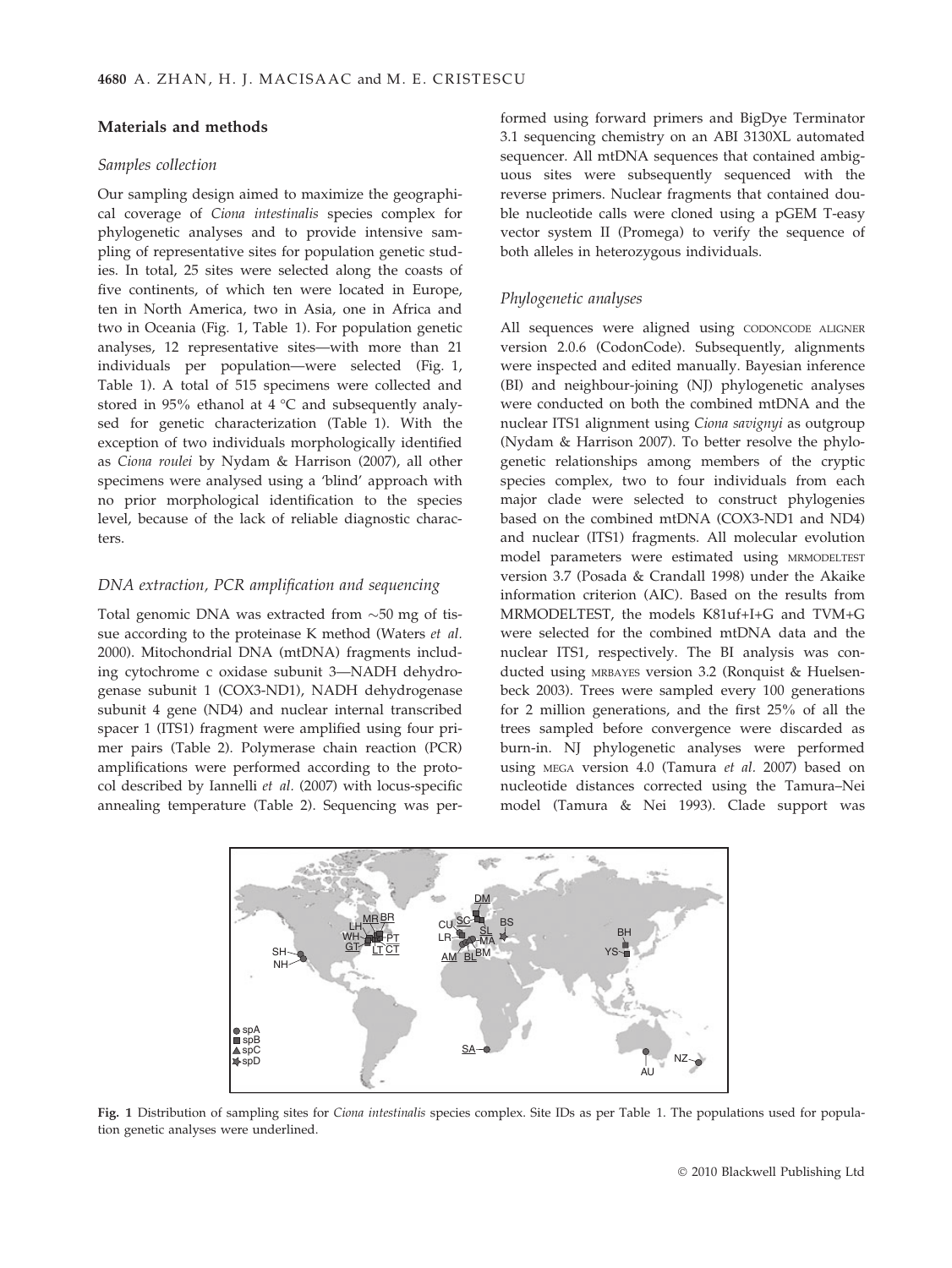# Materials and methods

## Samples collection

Our sampling design aimed to maximize the geographical coverage of Ciona intestinalis species complex for phylogenetic analyses and to provide intensive sampling of representative sites for population genetic studies. In total, 25 sites were selected along the coasts of five continents, of which ten were located in Europe, ten in North America, two in Asia, one in Africa and two in Oceania (Fig. 1, Table 1). For population genetic analyses, 12 representative sites—with more than 21 individuals per population—were selected (Fig. 1, Table 1). A total of 515 specimens were collected and stored in 95% ethanol at 4  $\degree$ C and subsequently analysed for genetic characterization (Table 1). With the exception of two individuals morphologically identified as Ciona roulei by Nydam & Harrison (2007), all other specimens were analysed using a 'blind' approach with no prior morphological identification to the species level, because of the lack of reliable diagnostic characters.

# DNA extraction, PCR amplification and sequencing

Total genomic DNA was extracted from  ${\sim}50$  mg of tissue according to the proteinase K method (Waters et al. 2000). Mitochondrial DNA (mtDNA) fragments including cytochrome c oxidase subunit 3—NADH dehydrogenase subunit 1 (COX3-ND1), NADH dehydrogenase subunit 4 gene (ND4) and nuclear internal transcribed spacer 1 (ITS1) fragment were amplified using four primer pairs (Table 2). Polymerase chain reaction (PCR) amplifications were performed according to the protocol described by Iannelli et al. (2007) with locus-specific annealing temperature (Table 2). Sequencing was per-

formed using forward primers and BigDye Terminator 3.1 sequencing chemistry on an ABI 3130XL automated sequencer. All mtDNA sequences that contained ambiguous sites were subsequently sequenced with the reverse primers. Nuclear fragments that contained double nucleotide calls were cloned using a pGEM T-easy vector system II (Promega) to verify the sequence of both alleles in heterozygous individuals.

# Phylogenetic analyses

All sequences were aligned using CODONCODE ALIGNER version 2.0.6 (CodonCode). Subsequently, alignments were inspected and edited manually. Bayesian inference (BI) and neighbour-joining (NJ) phylogenetic analyses were conducted on both the combined mtDNA and the nuclear ITS1 alignment using Ciona savignyi as outgroup (Nydam & Harrison 2007). To better resolve the phylogenetic relationships among members of the cryptic species complex, two to four individuals from each major clade were selected to construct phylogenies based on the combined mtDNA (COX3-ND1 and ND4) and nuclear (ITS1) fragments. All molecular evolution model parameters were estimated using MRMODELTEST version 3.7 (Posada & Crandall 1998) under the Akaike information criterion (AIC). Based on the results from MRMODELTEST, the models K81uf+I+G and TVM+G were selected for the combined mtDNA data and the nuclear ITS1, respectively. The BI analysis was conducted using MRBAYES version 3.2 (Ronquist & Huelsenbeck 2003). Trees were sampled every 100 generations for 2 million generations, and the first 25% of all the trees sampled before convergence were discarded as burn-in. NJ phylogenetic analyses were performed using MEGA version 4.0 (Tamura et al. 2007) based on nucleotide distances corrected using the Tamura–Nei model (Tamura & Nei 1993). Clade support was



Fig. 1 Distribution of sampling sites for Ciona intestinalis species complex. Site IDs as per Table 1. The populations used for population genetic analyses were underlined.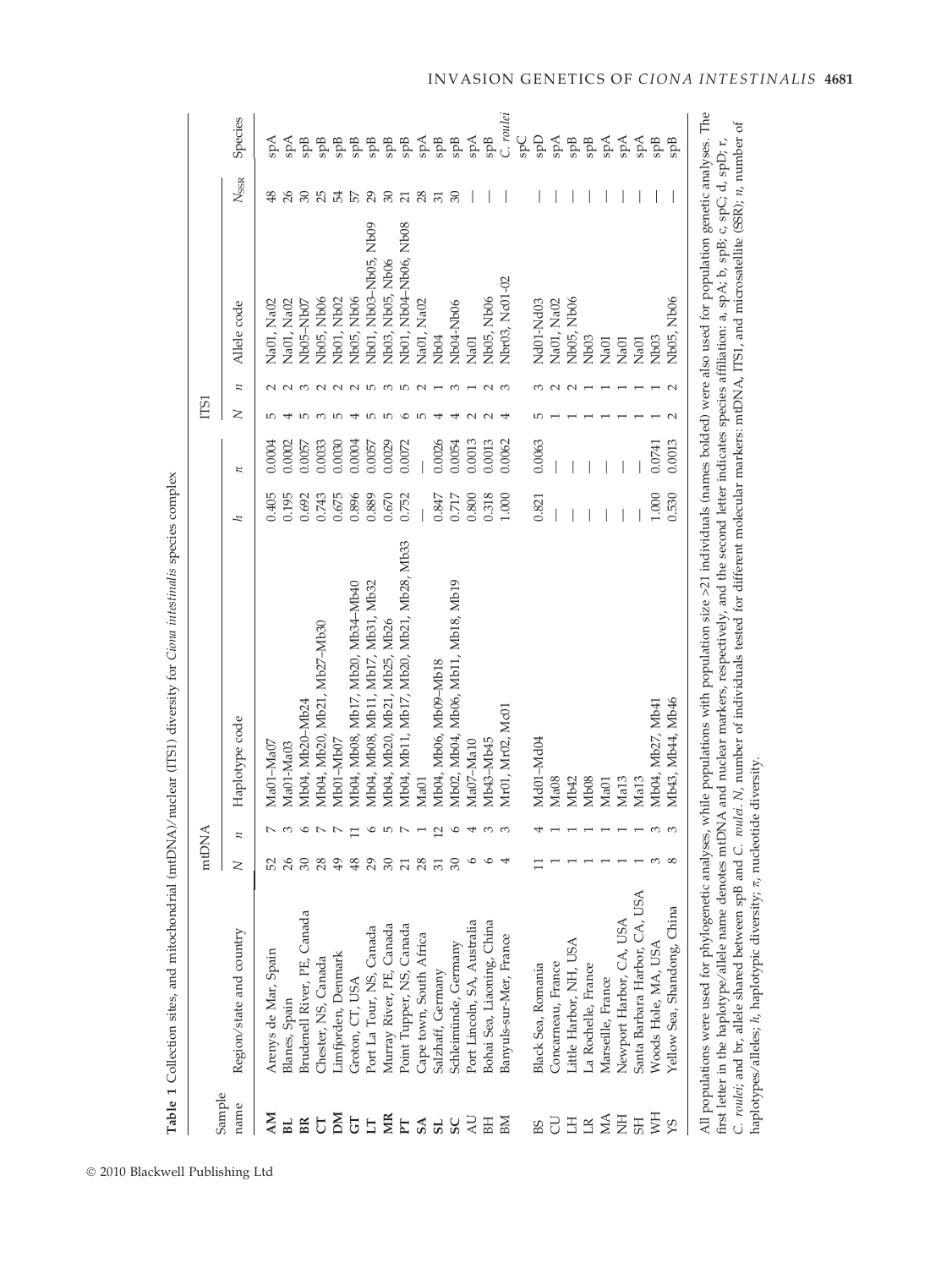|                |                                                                            |                | mtDNA                   |                                                                                                                                                                                                                                                                                                                                                                                                                                                                                                                                                          |           |        | <b>ISI</b> |   |                       |                 |                                                                                                                                                                                                                                                                                                                                                                                                                                    |
|----------------|----------------------------------------------------------------------------|----------------|-------------------------|----------------------------------------------------------------------------------------------------------------------------------------------------------------------------------------------------------------------------------------------------------------------------------------------------------------------------------------------------------------------------------------------------------------------------------------------------------------------------------------------------------------------------------------------------------|-----------|--------|------------|---|-----------------------|-----------------|------------------------------------------------------------------------------------------------------------------------------------------------------------------------------------------------------------------------------------------------------------------------------------------------------------------------------------------------------------------------------------------------------------------------------------|
| Sample<br>name | Region/state and country                                                   | $\geq$         | $\overline{\mu}$        | Haplotype code                                                                                                                                                                                                                                                                                                                                                                                                                                                                                                                                           | 4         | K      | z          | n | Allele code           | $N_{\rm SSR}$   | Species                                                                                                                                                                                                                                                                                                                                                                                                                            |
| $\mathbf{M}$   | Arenys de Mar, Spain                                                       | 52             |                         | Ma01-Ma07                                                                                                                                                                                                                                                                                                                                                                                                                                                                                                                                                | 0.405     | 0.0004 |            |   | Na01, Na02            | 48              | Aqs                                                                                                                                                                                                                                                                                                                                                                                                                                |
| BL.            | Blanes, Spain                                                              | 26             |                         | Ma01-Ma03                                                                                                                                                                                                                                                                                                                                                                                                                                                                                                                                                | 0.195     | 0.0002 |            |   | Na01, Na02            |                 | Aqs                                                                                                                                                                                                                                                                                                                                                                                                                                |
| BR             | Brudenell River, PE, Canada                                                | $30\,$         | $\circ$                 | Mb04, Mb20–Mb24                                                                                                                                                                                                                                                                                                                                                                                                                                                                                                                                          | 0.692     | 0.0057 |            |   | Nb05-Nb07             | 30              | ąф                                                                                                                                                                                                                                                                                                                                                                                                                                 |
| J              | Chester, NS, Canada                                                        | 28             | $\overline{ }$          | Mb04, Mb20, Mb21, Mb27-Mb30                                                                                                                                                                                                                                                                                                                                                                                                                                                                                                                              | 0.743     | 0.0033 |            |   | Nb05, Nb06            | 25              |                                                                                                                                                                                                                                                                                                                                                                                                                                    |
| Μ              | Limfjorden, Denmark                                                        | 49             | $\overline{ }$          | Mb01-Mb07                                                                                                                                                                                                                                                                                                                                                                                                                                                                                                                                                | 0.675     | 0.0030 |            |   | Nb01, Nb02            | 54              |                                                                                                                                                                                                                                                                                                                                                                                                                                    |
| 5J             | Groton, CT, USA                                                            | 48             | $\Box$                  | Mb04, Mb08, Mb17, Mb20, Mb34-Mb40                                                                                                                                                                                                                                                                                                                                                                                                                                                                                                                        | 0.896     | 0.0004 |            |   | Nb05, Nb06            | 57              |                                                                                                                                                                                                                                                                                                                                                                                                                                    |
| $\Box$         | Port La Tour, NS, Canada                                                   | 29             | $\circ$                 | Mb04, Mb08, Mb11, Mb17, Mb31, Mb32                                                                                                                                                                                                                                                                                                                                                                                                                                                                                                                       | 0.889     | 0.0057 |            |   | Nb01, Nb03-Nb05, Nb09 | 29              | ng mangkang                                                                                                                                                                                                                                                                                                                                                                                                                        |
| MR             | Murray River, PE, Canada                                                   | $30\,$         | $\overline{r}$          | Mb04, Mb20, Mb21, Mb25, Mb26                                                                                                                                                                                                                                                                                                                                                                                                                                                                                                                             | $0.670\,$ | 0.0029 |            |   | Nb03, Nb05, Nb06      | 30              |                                                                                                                                                                                                                                                                                                                                                                                                                                    |
|                | Point Tupper, NS, Canada                                                   | $\overline{c}$ | $\mathbb N$             | Mb04, Mb11, Mb17, Mb20, Mb21, Mb28, Mb33                                                                                                                                                                                                                                                                                                                                                                                                                                                                                                                 | 0.752     | 0.0072 |            |   | Nb01, Nb04-Nb06, Nb08 | $\overline{21}$ | $\begin{array}{ccccccccc} \mathbb{R} & \mathbb{R} & \mathbb{R} & \mathbb{R} & \mathbb{R} & \mathbb{R} & \mathbb{R} & \mathbb{R} & \mathbb{R} & \mathbb{R} & \mathbb{R} & \mathbb{R} & \mathbb{R} & \mathbb{R} & \mathbb{R} & \mathbb{R} & \mathbb{R} & \mathbb{R} & \mathbb{R} & \mathbb{R} & \mathbb{R} & \mathbb{R} & \mathbb{R} & \mathbb{R} & \mathbb{R} & \mathbb{R} & \mathbb{R} & \mathbb{R} & \mathbb{R} & \mathbb{R} & \$ |
| E SA           | Cape town, South Africa                                                    | 28             | $\overline{ }$          | Ma01                                                                                                                                                                                                                                                                                                                                                                                                                                                                                                                                                     |           |        |            |   | Na01, Na02            | 28              |                                                                                                                                                                                                                                                                                                                                                                                                                                    |
| ${\tt S}$      | Salzhaff, Germany                                                          | 51             | $\overline{\mathbf{C}}$ | Mb04, Mb06, Mb09-Mb18                                                                                                                                                                                                                                                                                                                                                                                                                                                                                                                                    | 0.847     | 0.0026 |            |   | Nb <sub>04</sub>      | $\overline{5}$  |                                                                                                                                                                                                                                                                                                                                                                                                                                    |
| SC             | Schleimünde, Germany                                                       | $\mathcal{S}$  | $\circ$                 | Mb02, Mb04, Mb06, Mb11, Mb18, Mb19                                                                                                                                                                                                                                                                                                                                                                                                                                                                                                                       | 0.717     | 0.0054 |            |   | Nb04-Nb06             | $\approx$       |                                                                                                                                                                                                                                                                                                                                                                                                                                    |
| JN             | Port Lincoln, SA, Australia                                                |                | 4                       | Ma07-Ma10                                                                                                                                                                                                                                                                                                                                                                                                                                                                                                                                                | 0.800     | 0.0013 |            |   | Na01                  |                 | $_{\rm spA}$                                                                                                                                                                                                                                                                                                                                                                                                                       |
| BH             | Bohai Sea, Liaoning, China                                                 |                | 3                       | Mb43-Mb45                                                                                                                                                                                                                                                                                                                                                                                                                                                                                                                                                | 0.318     | 0.0013 |            |   | Nb05, Nb06            |                 | $\operatorname{spB}$                                                                                                                                                                                                                                                                                                                                                                                                               |
| BМ             | Banyuls-sur-Mer, France                                                    |                | 3                       | Mr01, Mr02, Mc01                                                                                                                                                                                                                                                                                                                                                                                                                                                                                                                                         | 1.000     | 0.0062 |            |   | Nbr03, Nc01-02        |                 | C. roulei                                                                                                                                                                                                                                                                                                                                                                                                                          |
|                |                                                                            |                |                         |                                                                                                                                                                                                                                                                                                                                                                                                                                                                                                                                                          |           |        |            |   |                       |                 | <b>Ods</b>                                                                                                                                                                                                                                                                                                                                                                                                                         |
| BS             | Black Sea, Romania                                                         |                |                         | Md01-Md04                                                                                                                                                                                                                                                                                                                                                                                                                                                                                                                                                | 0.821     | 0.0063 |            |   | Nd01-Nd03             |                 | Gds                                                                                                                                                                                                                                                                                                                                                                                                                                |
| 5              | Concarneau, France                                                         |                |                         | Ma <sub>08</sub>                                                                                                                                                                                                                                                                                                                                                                                                                                                                                                                                         |           |        |            |   | Na01, Na02            |                 | Aqs                                                                                                                                                                                                                                                                                                                                                                                                                                |
| Ξ              | Little Harbor, NH, USA                                                     |                |                         | Mb <sub>42</sub>                                                                                                                                                                                                                                                                                                                                                                                                                                                                                                                                         |           |        |            |   | Nb05, Nb06            |                 | <b>SppB</b>                                                                                                                                                                                                                                                                                                                                                                                                                        |
| $\mathbb{R}$   | La Rochelle, France                                                        |                |                         | Mb <sub>08</sub>                                                                                                                                                                                                                                                                                                                                                                                                                                                                                                                                         |           |        |            |   | Nb <sub>03</sub>      |                 | SpB                                                                                                                                                                                                                                                                                                                                                                                                                                |
| МA             | Marseille, France                                                          |                |                         | Ma01                                                                                                                                                                                                                                                                                                                                                                                                                                                                                                                                                     |           |        |            |   | Na01                  |                 | spA                                                                                                                                                                                                                                                                                                                                                                                                                                |
| E              | Newport Harbor, CA, USA                                                    |                |                         | Ma13                                                                                                                                                                                                                                                                                                                                                                                                                                                                                                                                                     |           |        |            |   | Na01                  |                 | Åds                                                                                                                                                                                                                                                                                                                                                                                                                                |
| <b>SH</b>      | USA<br>Santa Barbara Harbor, CA,                                           |                |                         | Ma13                                                                                                                                                                                                                                                                                                                                                                                                                                                                                                                                                     |           |        |            |   | Na01                  |                 | Åqs                                                                                                                                                                                                                                                                                                                                                                                                                                |
| Fin            | Woods Hole, MA, USA                                                        |                | 3                       | Mb04, Mb27, Mb41                                                                                                                                                                                                                                                                                                                                                                                                                                                                                                                                         | 1.000     | 0.0741 |            |   | Nb <sub>03</sub>      |                 | spB                                                                                                                                                                                                                                                                                                                                                                                                                                |
| χS             | Yellow Sea, Shandong, China                                                |                | 3                       | Mb43, Mb44, Mb46                                                                                                                                                                                                                                                                                                                                                                                                                                                                                                                                         | 0.530     | 0.0013 |            |   | Nb05, Nb06            |                 | <b>SppB</b>                                                                                                                                                                                                                                                                                                                                                                                                                        |
|                |                                                                            |                |                         | All populations were used for phylogenetic analyses, while populations with population size >21 individuals (names bolded) were also used for population genetic analyses. The<br>C. roulei; and br, allele shared between spB and C. roulei. N, number of individuals tested for different molecular markers: mtDNA, ITS1, and microsatellite (SSR); n, number of<br>first letter in the haplotype/allele name denotes mtDNA and nuclear markers, respectively, and the second letter indicates species affiliation: a, spA; b, spB; c, spC; d, spD; r, |           |        |            |   |                       |                 |                                                                                                                                                                                                                                                                                                                                                                                                                                    |
|                | haplotypes/alleles; h, haplotypic diversity; $\pi$ , nucleotide diversity. |                |                         |                                                                                                                                                                                                                                                                                                                                                                                                                                                                                                                                                          |           |        |            |   |                       |                 |                                                                                                                                                                                                                                                                                                                                                                                                                                    |

Table 1 Collection sites, and mitochondrial (mtDNA)/nuclear (ITS1) diversity for Ciona intestinalis species complex Table 1 Collection sites, and mitochondrial (mtDNA) ⁄ nuclear (ITS1) diversity for Ciona intestinalis species complex

- 2010 Blackwell Publishing Ltd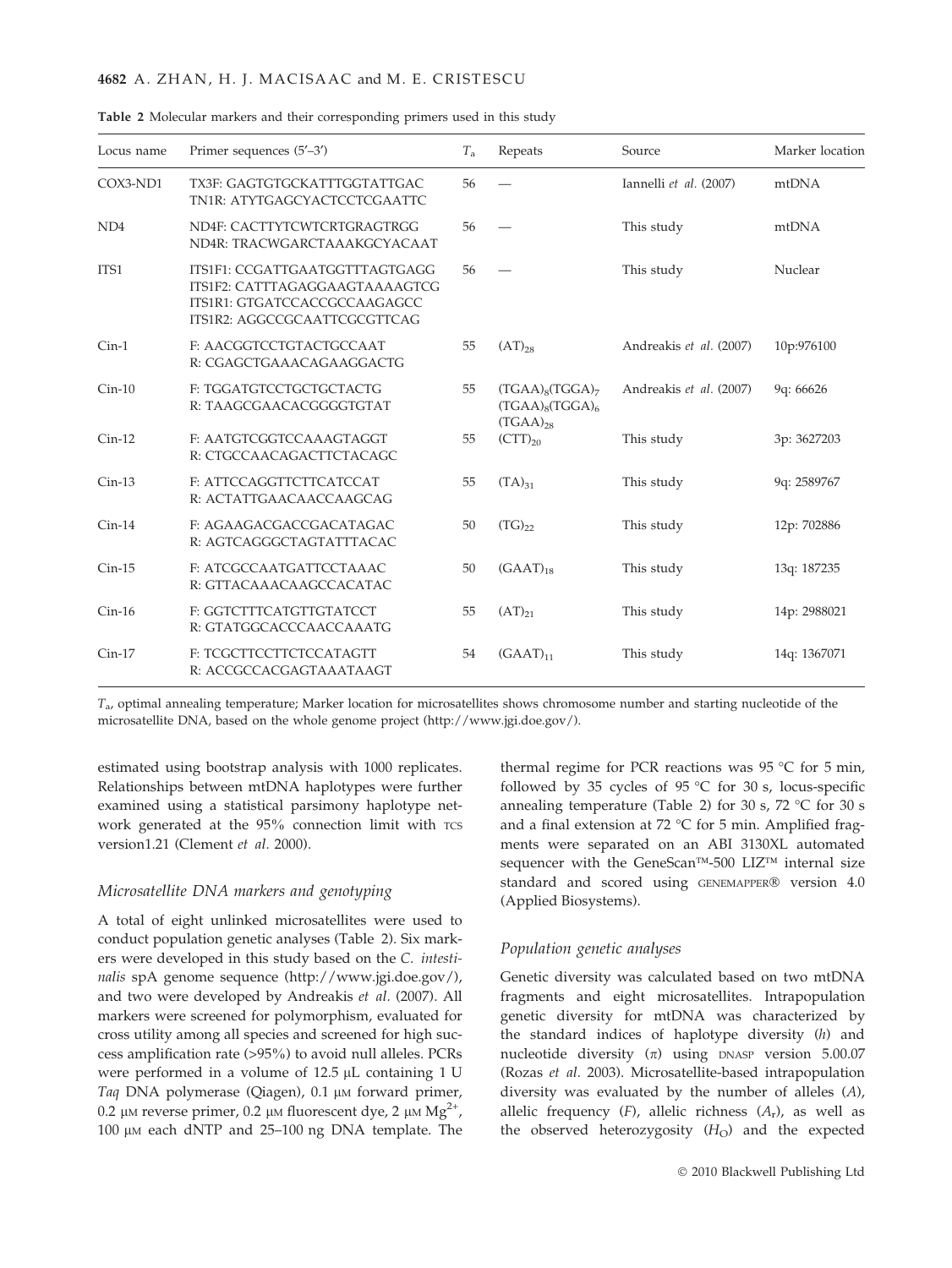## 4682 A. ZHAN, H. J. MACISAAC and M. E. CRISTESCU

| Locus name      | Primer sequences $(5'–3')$                                                                                                       | $T_{\rm a}$ | Repeats                                                           | Source                  | Marker location |
|-----------------|----------------------------------------------------------------------------------------------------------------------------------|-------------|-------------------------------------------------------------------|-------------------------|-----------------|
| COX3-ND1        | TX3F: GAGTGTGCKATTTGGTATTGAC<br>TN1R: ATYTGAGCYACTCCTCGAATTC                                                                     | 56          |                                                                   | Iannelli et al. (2007)  | mtDNA           |
| ND <sub>4</sub> | ND4F: CACTTYTCWTCRTGRAGTRGG<br>ND4R: TRACWGARCTAAAKGCYACAAT                                                                      | 56          |                                                                   | This study              | mtDNA           |
| ITS1            | ITS1F1: CCGATTGAATGGTTTAGTGAGG<br>ITS1F2: CATTTAGAGGAAGTAAAAGTCG<br>ITS1R1: GTGATCCACCGCCAAGAGCC<br>ITS1R2: AGGCCGCAATTCGCGTTCAG | 56          |                                                                   | This study              | Nuclear         |
| $Cin-1$         | F: AACGGTCCTGTACTGCCAAT<br>R: CGAGCTGAAACAGAAGGACTG                                                                              | 55          | $(AT)_{28}$                                                       | Andreakis et al. (2007) | 10p:976100      |
| $Cin-10$        | F: TGGATGTCCTGCTGCTACTG<br>R: TAAGCGAACACGGGGTGTAT                                                                               | 55          | $(TGAA)_{8}(TGGA)_{7}$<br>$(TGAA)_{8}(TGGA)_{6}$<br>$(TGAA)_{28}$ | Andreakis et al. (2007) | 9q: 66626       |
| $Cin-12$        | F: AATGTCGGTCCAAAGTAGGT<br>R: CTGCCAACAGACTTCTACAGC                                                                              | 55          | $(CTT)_{20}$                                                      | This study              | 3p: 3627203     |
| $Cin-13$        | F: ATTCCAGGTTCTTCATCCAT<br>R: ACTATTGAACAACCAAGCAG                                                                               | 55          | $(TA)_{31}$                                                       | This study              | 9q: 2589767     |
| $Cin-14$        | F: AGAAGACGACCGACATAGAC<br>R: AGTCAGGGCTAGTATTTACAC                                                                              | 50          | $(TG)_{22}$                                                       | This study              | 12p: 702886     |
| $Cin-15$        | F: ATCGCCAATGATTCCTAAAC<br>R: GTTACAAACAAGCCACATAC                                                                               | 50          | $(GAAT)_{18}$                                                     | This study              | 13q: 187235     |
| $Cin-16$        | F: GGTCTTTCATGTTGTATCCT<br>R: GTATGGCACCCAACCAAATG                                                                               | 55          | $(AT)_{21}$                                                       | This study              | 14p: 2988021    |
| $Cin-17$        | F: TCGCTTCCTTCTCCATAGTT<br>R: ACCGCCACGAGTAAATAAGT                                                                               | 54          | $(GAAT)_{11}$                                                     | This study              | 14q: 1367071    |

|  |  |  |  |  |  | Table 2 Molecular markers and their corresponding primers used in this study |  |  |  |  |
|--|--|--|--|--|--|------------------------------------------------------------------------------|--|--|--|--|
|--|--|--|--|--|--|------------------------------------------------------------------------------|--|--|--|--|

 $T_{\alpha}$ , optimal annealing temperature; Marker location for microsatellites shows chromosome number and starting nucleotide of the microsatellite DNA, based on the whole genome project (http://www.jgi.doe.gov/).

estimated using bootstrap analysis with 1000 replicates. Relationships between mtDNA haplotypes were further examined using a statistical parsimony haplotype network generated at the 95% connection limit with TCS version1.21 (Clement et al. 2000).

# Microsatellite DNA markers and genotyping

A total of eight unlinked microsatellites were used to conduct population genetic analyses (Table 2). Six markers were developed in this study based on the C. intestinalis spA genome sequence (http://www.jgi.doe.gov/), and two were developed by Andreakis et al. (2007). All markers were screened for polymorphism, evaluated for cross utility among all species and screened for high success amplification rate (>95%) to avoid null alleles. PCRs were performed in a volume of  $12.5 \mu L$  containing 1 U Taq DNA polymerase (Qiagen), 0.1 µM forward primer, 0.2 μm reverse primer, 0.2 μm fluorescent dye, 2 μm  $Mg^{2+}$ , 100 μm each dNTP and 25-100 ng DNA template. The thermal regime for PCR reactions was  $95 \text{ °C}$  for 5 min, followed by 35 cycles of 95  $\degree$ C for 30 s, locus-specific annealing temperature (Table 2) for 30 s, 72  $^{\circ}$ C for 30 s and a final extension at 72  $^{\circ}$ C for 5 min. Amplified fragments were separated on an ABI 3130XL automated sequencer with the GeneScan<sup>TM</sup>-500 LIZ<sup>TM</sup> internal size standard and scored using GENEMAPPER® version 4.0 (Applied Biosystems).

#### Population genetic analyses

Genetic diversity was calculated based on two mtDNA fragments and eight microsatellites. Intrapopulation genetic diversity for mtDNA was characterized by the standard indices of haplotype diversity (h) and nucleotide diversity  $(\pi)$  using DNASP version 5.00.07 (Rozas et al. 2003). Microsatellite-based intrapopulation diversity was evaluated by the number of alleles (A), allelic frequency  $(F)$ , allelic richness  $(A_r)$ , as well as the observed heterozygosity  $(H<sub>O</sub>)$  and the expected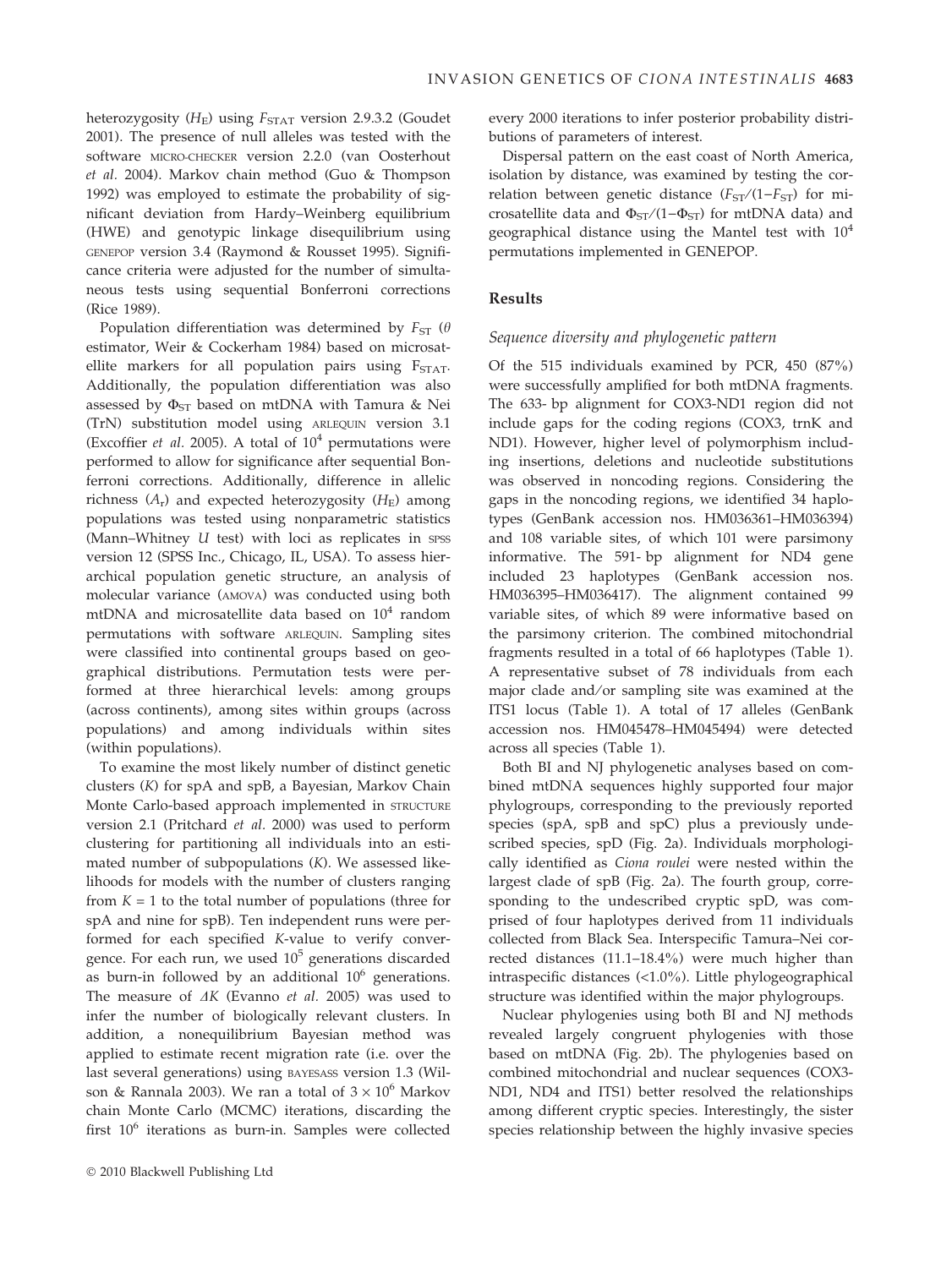heterozygosity  $(H_E)$  using  $F_{STAT}$  version 2.9.3.2 (Goudet 2001). The presence of null alleles was tested with the software MICRO-CHECKER version 2.2.0 (van Oosterhout et al. 2004). Markov chain method (Guo & Thompson 1992) was employed to estimate the probability of significant deviation from Hardy–Weinberg equilibrium (HWE) and genotypic linkage disequilibrium using GENEPOP version 3.4 (Raymond & Rousset 1995). Significance criteria were adjusted for the number of simultaneous tests using sequential Bonferroni corrections (Rice 1989).

Population differentiation was determined by  $F_{ST}$  ( $\theta$ estimator, Weir & Cockerham 1984) based on microsatellite markers for all population pairs using  $F_{STAT}$ . Additionally, the population differentiation was also assessed by  $\Phi_{ST}$  based on mtDNA with Tamura & Nei (TrN) substitution model using ARLEQUIN version 3.1 (Excoffier *et al.* 2005). A total of  $10^4$  permutations were performed to allow for significance after sequential Bonferroni corrections. Additionally, difference in allelic richness  $(A_r)$  and expected heterozygosity  $(H_F)$  among populations was tested using nonparametric statistics (Mann–Whitney  $U$  test) with loci as replicates in  $SPSS$ version 12 (SPSS Inc., Chicago, IL, USA). To assess hierarchical population genetic structure, an analysis of molecular variance (AMOVA) was conducted using both mtDNA and microsatellite data based on  $10^4$  random permutations with software ARLEQUIN. Sampling sites were classified into continental groups based on geographical distributions. Permutation tests were performed at three hierarchical levels: among groups (across continents), among sites within groups (across populations) and among individuals within sites (within populations).

To examine the most likely number of distinct genetic clusters (K) for spA and spB, a Bayesian, Markov Chain Monte Carlo-based approach implemented in STRUCTURE version 2.1 (Pritchard et al. 2000) was used to perform clustering for partitioning all individuals into an estimated number of subpopulations (K). We assessed likelihoods for models with the number of clusters ranging from  $K = 1$  to the total number of populations (three for spA and nine for spB). Ten independent runs were performed for each specified K-value to verify convergence. For each run, we used  $10^5$  generations discarded as burn-in followed by an additional  $10^6$  generations. The measure of  $\Delta K$  (Evanno et al. 2005) was used to infer the number of biologically relevant clusters. In addition, a nonequilibrium Bayesian method was applied to estimate recent migration rate (i.e. over the last several generations) using BAYESASS version 1.3 (Wilson & Rannala 2003). We ran a total of  $3 \times 10^6$  Markov chain Monte Carlo (MCMC) iterations, discarding the first  $10^6$  iterations as burn-in. Samples were collected

- 2010 Blackwell Publishing Ltd

every 2000 iterations to infer posterior probability distributions of parameters of interest.

Dispersal pattern on the east coast of North America, isolation by distance, was examined by testing the correlation between genetic distance  $(F_{ST}/(1-F_{ST})$  for microsatellite data and  $\Phi_{ST}/(1-\Phi_{ST})$  for mtDNA data) and geographical distance using the Mantel test with  $10^4$ permutations implemented in GENEPOP.

# Results

#### Sequence diversity and phylogenetic pattern

Of the 515 individuals examined by PCR, 450 (87%) were successfully amplified for both mtDNA fragments. The 633- bp alignment for COX3-ND1 region did not include gaps for the coding regions (COX3, trnK and ND1). However, higher level of polymorphism including insertions, deletions and nucleotide substitutions was observed in noncoding regions. Considering the gaps in the noncoding regions, we identified 34 haplotypes (GenBank accession nos. HM036361–HM036394) and 108 variable sites, of which 101 were parsimony informative. The 591- bp alignment for ND4 gene included 23 haplotypes (GenBank accession nos. HM036395–HM036417). The alignment contained 99 variable sites, of which 89 were informative based on the parsimony criterion. The combined mitochondrial fragments resulted in a total of 66 haplotypes (Table 1). A representative subset of 78 individuals from each major clade and/or sampling site was examined at the ITS1 locus (Table 1). A total of 17 alleles (GenBank accession nos. HM045478–HM045494) were detected across all species (Table 1).

Both BI and NJ phylogenetic analyses based on combined mtDNA sequences highly supported four major phylogroups, corresponding to the previously reported species (spA, spB and spC) plus a previously undescribed species, spD (Fig. 2a). Individuals morphologically identified as Ciona roulei were nested within the largest clade of spB (Fig. 2a). The fourth group, corresponding to the undescribed cryptic spD, was comprised of four haplotypes derived from 11 individuals collected from Black Sea. Interspecific Tamura–Nei corrected distances (11.1–18.4%) were much higher than intraspecific distances (<1.0%). Little phylogeographical structure was identified within the major phylogroups.

Nuclear phylogenies using both BI and NJ methods revealed largely congruent phylogenies with those based on mtDNA (Fig. 2b). The phylogenies based on combined mitochondrial and nuclear sequences (COX3- ND1, ND4 and ITS1) better resolved the relationships among different cryptic species. Interestingly, the sister species relationship between the highly invasive species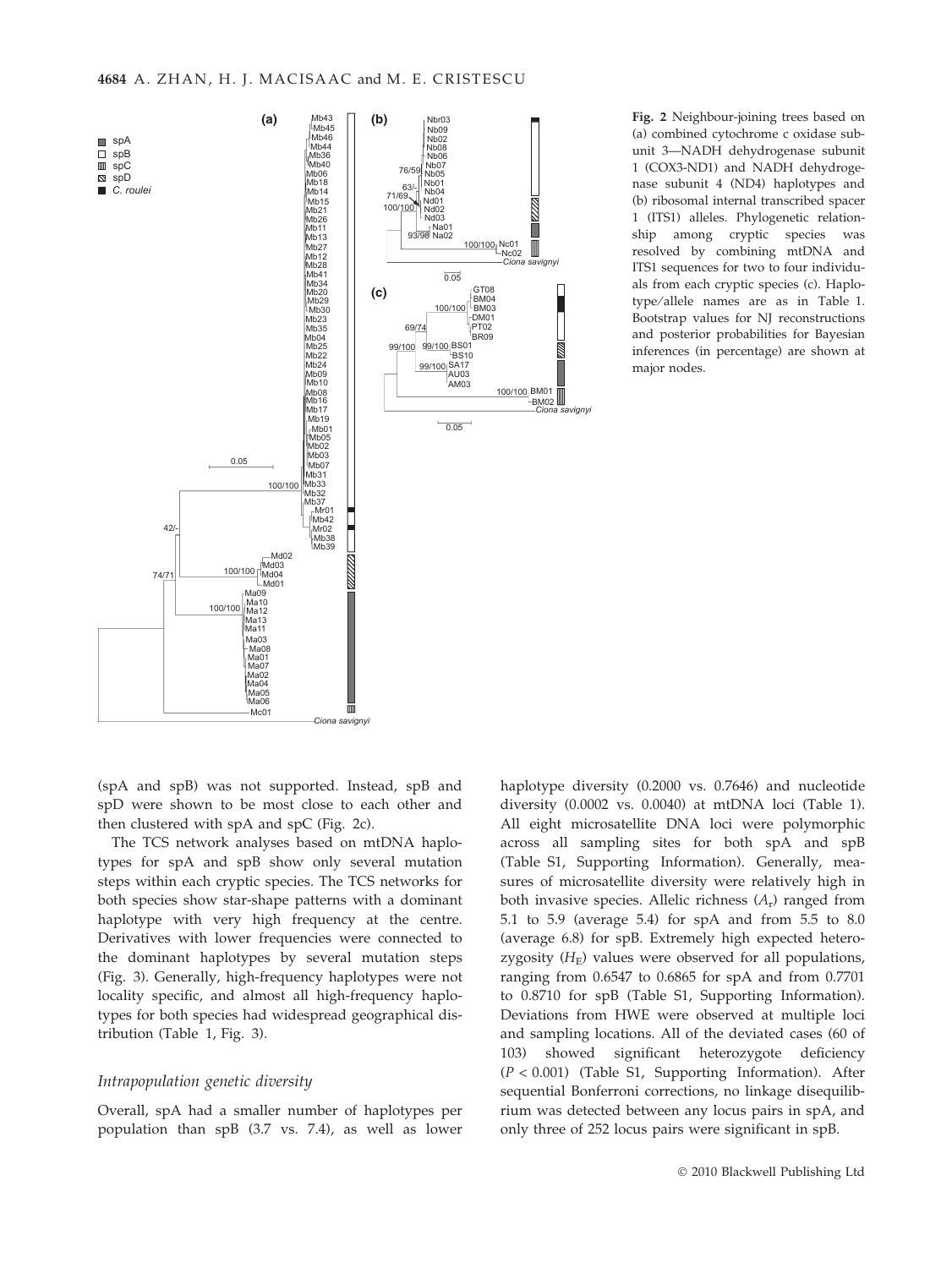

Fig. 2 Neighbour-joining trees based on (a) combined cytochrome c oxidase subunit 3—NADH dehydrogenase subunit 1 (COX3-ND1) and NADH dehydrogenase subunit 4 (ND4) haplotypes and (b) ribosomal internal transcribed spacer 1 (ITS1) alleles. Phylogenetic relationship among cryptic species was resolved by combining mtDNA and ITS1 sequences for two to four individuals from each cryptic species (c). Haplotype ⁄ allele names are as in Table 1. Bootstrap values for NJ reconstructions and posterior probabilities for Bayesian inferences (in percentage) are shown at major nodes.

(spA and spB) was not supported. Instead, spB and spD were shown to be most close to each other and then clustered with spA and spC (Fig. 2c).

The TCS network analyses based on mtDNA haplotypes for spA and spB show only several mutation steps within each cryptic species. The TCS networks for both species show star-shape patterns with a dominant haplotype with very high frequency at the centre. Derivatives with lower frequencies were connected to the dominant haplotypes by several mutation steps (Fig. 3). Generally, high-frequency haplotypes were not locality specific, and almost all high-frequency haplotypes for both species had widespread geographical distribution (Table 1, Fig. 3).

## Intrapopulation genetic diversity

Overall, spA had a smaller number of haplotypes per population than spB (3.7 vs. 7.4), as well as lower haplotype diversity (0.2000 vs. 0.7646) and nucleotide diversity (0.0002 vs. 0.0040) at mtDNA loci (Table 1). All eight microsatellite DNA loci were polymorphic across all sampling sites for both spA and spB (Table S1, Supporting Information). Generally, measures of microsatellite diversity were relatively high in both invasive species. Allelic richness  $(A_r)$  ranged from 5.1 to 5.9 (average 5.4) for spA and from 5.5 to 8.0 (average 6.8) for spB. Extremely high expected heterozygosity  $(H<sub>E</sub>)$  values were observed for all populations, ranging from 0.6547 to 0.6865 for spA and from 0.7701 to 0.8710 for spB (Table S1, Supporting Information). Deviations from HWE were observed at multiple loci and sampling locations. All of the deviated cases (60 of 103) showed significant heterozygote deficiency  $(P < 0.001)$  (Table S1, Supporting Information). After sequential Bonferroni corrections, no linkage disequilibrium was detected between any locus pairs in spA, and only three of 252 locus pairs were significant in spB.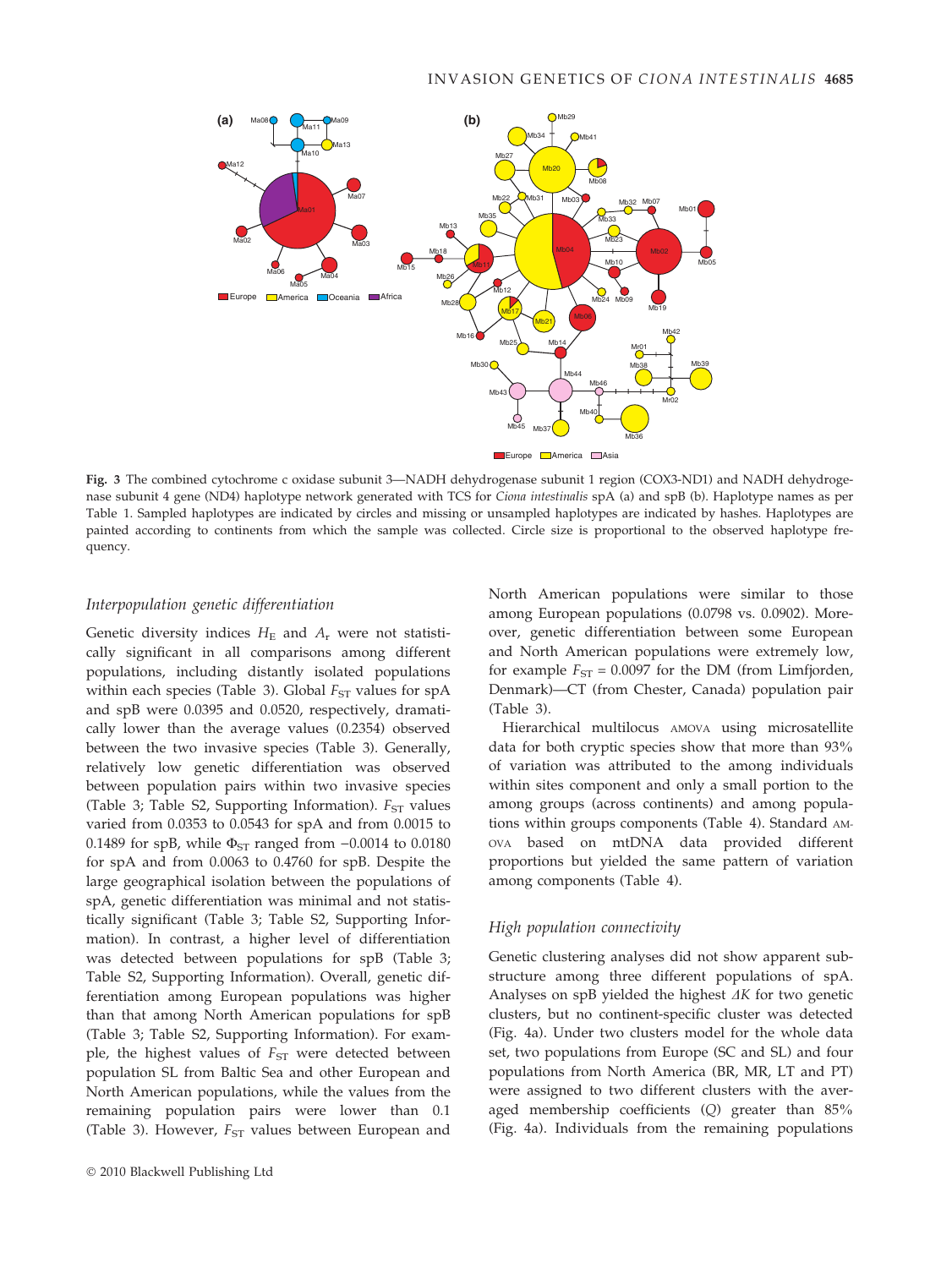

Fig. 3 The combined cytochrome c oxidase subunit 3—NADH dehydrogenase subunit 1 region (COX3-ND1) and NADH dehydrogenase subunit 4 gene (ND4) haplotype network generated with TCS for Ciona intestinalis spA (a) and spB (b). Haplotype names as per Table 1. Sampled haplotypes are indicated by circles and missing or unsampled haplotypes are indicated by hashes. Haplotypes are painted according to continents from which the sample was collected. Circle size is proportional to the observed haplotype frequency.

# Interpopulation genetic differentiation

Genetic diversity indices  $H<sub>E</sub>$  and  $A<sub>r</sub>$  were not statistically significant in all comparisons among different populations, including distantly isolated populations within each species (Table 3). Global  $F_{ST}$  values for  $spA$ and spB were 0.0395 and 0.0520, respectively, dramatically lower than the average values (0.2354) observed between the two invasive species (Table 3). Generally, relatively low genetic differentiation was observed between population pairs within two invasive species (Table 3; Table S2, Supporting Information).  $F_{ST}$  values varied from 0.0353 to 0.0543 for spA and from 0.0015 to 0.1489 for spB, while  $\Phi_{ST}$  ranged from  $-0.0014$  to 0.0180 for spA and from 0.0063 to 0.4760 for spB. Despite the large geographical isolation between the populations of spA, genetic differentiation was minimal and not statistically significant (Table 3; Table S2, Supporting Information). In contrast, a higher level of differentiation was detected between populations for spB (Table 3; Table S2, Supporting Information). Overall, genetic differentiation among European populations was higher than that among North American populations for spB (Table 3; Table S2, Supporting Information). For example, the highest values of  $F_{ST}$  were detected between population SL from Baltic Sea and other European and North American populations, while the values from the remaining population pairs were lower than 0.1 (Table 3). However,  $F_{ST}$  values between European and

North American populations were similar to those among European populations (0.0798 vs. 0.0902). Moreover, genetic differentiation between some European and North American populations were extremely low, for example  $F_{ST} = 0.0097$  for the DM (from Limfjorden, Denmark)—CT (from Chester, Canada) population pair (Table 3).

Hierarchical multilocus AMOVA using microsatellite data for both cryptic species show that more than 93% of variation was attributed to the among individuals within sites component and only a small portion to the among groups (across continents) and among populations within groups components (Table 4). Standard AM-OVA based on mtDNA data provided different proportions but yielded the same pattern of variation among components (Table 4).

# High population connectivity

Genetic clustering analyses did not show apparent substructure among three different populations of spA. Analyses on spB yielded the highest  $\Delta K$  for two genetic clusters, but no continent-specific cluster was detected (Fig. 4a). Under two clusters model for the whole data set, two populations from Europe (SC and SL) and four populations from North America (BR, MR, LT and PT) were assigned to two different clusters with the averaged membership coefficients (Q) greater than 85% (Fig. 4a). Individuals from the remaining populations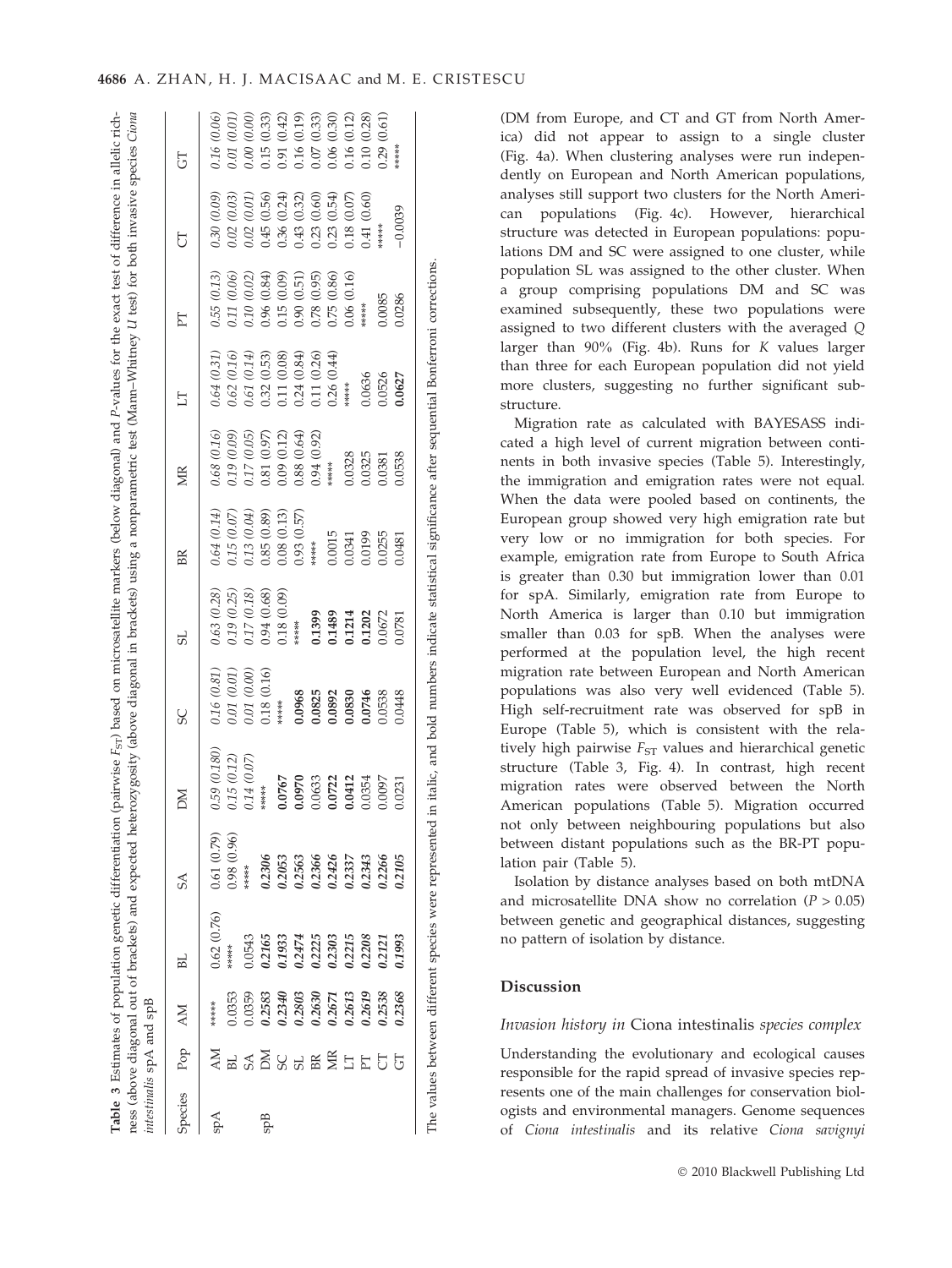| Species | Pop       | <b>AM</b> | БL          | $S\Lambda$  | M            | SC          | SL          | BR          | <b>NR</b>   | EI          | E           | 5           | 5           |
|---------|-----------|-----------|-------------|-------------|--------------|-------------|-------------|-------------|-------------|-------------|-------------|-------------|-------------|
| Aqs     | <b>NN</b> | ******    | 0.62 (0.76) | 0.61(0.79)  | 0.59 (0.180) | 0.16 (0.81) | 0.63(0.28)  | 0.64 (0.14) | 0.68 (0.16) | 0.64 (0.31) | 0.55 (0.13) | 0.30 (0.09) | 0.16 (0.06) |
|         | BL        | 0.353     | *****       | 0.98 (0.96) | 0.15 (0.12)  | 0.01 (0.01) | 0.19(0.25)  | 0.15(0.07)  | 0.19 (0.09) | 0.62 (0.16) | 0.11 (0.06) | 0.02 (0.03) | 0.01 (0.01) |
|         | <b>SA</b> | 0359      | 0.543       | *****       | 0.14 (0.07)  | 0.01 (0.00) | 0.17 (0.18) | 13 (0.04)   | 0.05        | 0.61 (0.14) | 0.10(0.02)  | 0.02 (0.01  | 0.00(0.00)  |
| SppB    |           | 0.2583    | 0.2165      | 0.2306      | *****        | 0.18(0.16)  | 0.94(0.68)  | 0.85 (0.89) | 0.97        | 0.32 (0.53) | 0.96 (0.84) | 0.56) 545   | 0.15(0.33)  |
|         | កន<br>ន   | 0.2340    | 0.1933      | 0.2053      | 0.0767       | $***$ ****  | 0.18(0.09)  | 0.08(0.13)  | 0.09(0.12)  | 0.08) 11.   | 0.15(0.09)  | 0.36 (0.24) | 0.91(0.42)  |
|         |           | 0.2803    | 0.2474      | 0.2563      | 0.0970       | 0.0968      | $***$ ****  | 0.93(0.57)  | 0.88 (0.64) | 0.24(0.84)  | 0.90(0.51)  | 0.43 (0.32) | 0.16(0.19)  |
|         | BR        | 0.2630    | 0.2225      | 0.2366      | 0.0633       | 0.0825      | 0.1399      | ******      | 0.94 (0.92) | 0.11 (0.26) | 0.78(0.95)  | 0.23(0.60)  | 0.07(0.33)  |
|         | ЙK        | 0.2671    | 0.2303      | 0.2426      | 0.0722       | 0.0892      | 0.1489      | 0.0015      | ******      | 0.26(0.44)  | 0.75 (0.86) | 0.23(0.54)  | 0.06(0.30)  |
|         | E         | 0.2613    | 0.2215      | 0.2337      | 0.0412       | 0.0830      | 0.1214      | 0.0341      | 0.0328      | *****       | 0.06 (0.16) | 0.18(0.07)  | 0.16(0.12)  |
|         |           | 9.2619    | 0.2208      | 0.2343      | 0.0354       | 0.0746      | 0.1202      | 0.0199      | 0.0325      | 0.0636      | ******      | 0.60) 14.   | 0.10(0.28)  |
|         | Б         | 1.2538    | 0.2121      | 0.2266      | 0.0097       | 0.0538      | 0.0672      | 0.0255      | 0.0381      | 0.0526      | 0.0085      | *****       | 0.29(0.61)  |
|         | 5         | 0.2368    | 0.1993      | 0.2105      | 0.0231       | 0.0448      | 0.0781      | 0.0481      | 0.0538      | 0.0627      | 0.0286      | $-0.0039$   | *****       |

(DM from Europe, and CT and GT from North America) did not appear to assign to a single cluster (Fig. 4a). When clustering analyses were run independently on European and North American populations, analyses still support two clusters for the North American populations (Fig. 4c). However, hierarchical structure was detected in European populations: populations DM and SC were assigned to one cluster, while population SL was assigned to the other cluster. When a group comprising populations DM and SC was examined subsequently, these two populations were assigned to two different clusters with the averaged Q larger than 90% (Fig. 4b). Runs for K values larger than three for each European population did not yield more clusters, suggesting no further significant substructure.

Migration rate as calculated with BAYESASS indicated a high level of current migration between continents in both invasive species (Table 5). Interestingly, the immigration and emigration rates were not equal. When the data were pooled based on continents, the European group showed very high emigration rate but very low or no immigration for both species. For example, emigration rate from Europe to South Africa is greater than 0.30 but immigration lower than 0.01 for spA. Similarly, emigration rate from Europe to North America is larger than 0.10 but immigration smaller than 0.03 for spB. When the analyses were performed at the population level, the high recent migration rate between European and North American populations was also very well evidenced (Table 5). High self-recruitment rate was observed for spB in Europe (Table 5), which is consistent with the relatively high pairwise  $F_{ST}$  values and hierarchical genetic structure (Table 3, Fig. 4). In contrast, high recent migration rates were observed between the North American populations (Table 5). Migration occurred not only between neighbouring populations but also between distant populations such as the BR-PT population pair (Table 5).

Isolation by distance analyses based on both mtDNA and microsatellite DNA show no correlation ( $P > 0.05$ ) between genetic and geographical distances, suggesting no pattern of isolation by distance.

# Discussion

# Invasion history in Ciona intestinalis species complex

Understanding the evolutionary and ecological causes responsible for the rapid spread of invasive species represents one of the main challenges for conservation biologists and environmental managers. Genome sequences of Ciona intestinalis and its relative Ciona savignyi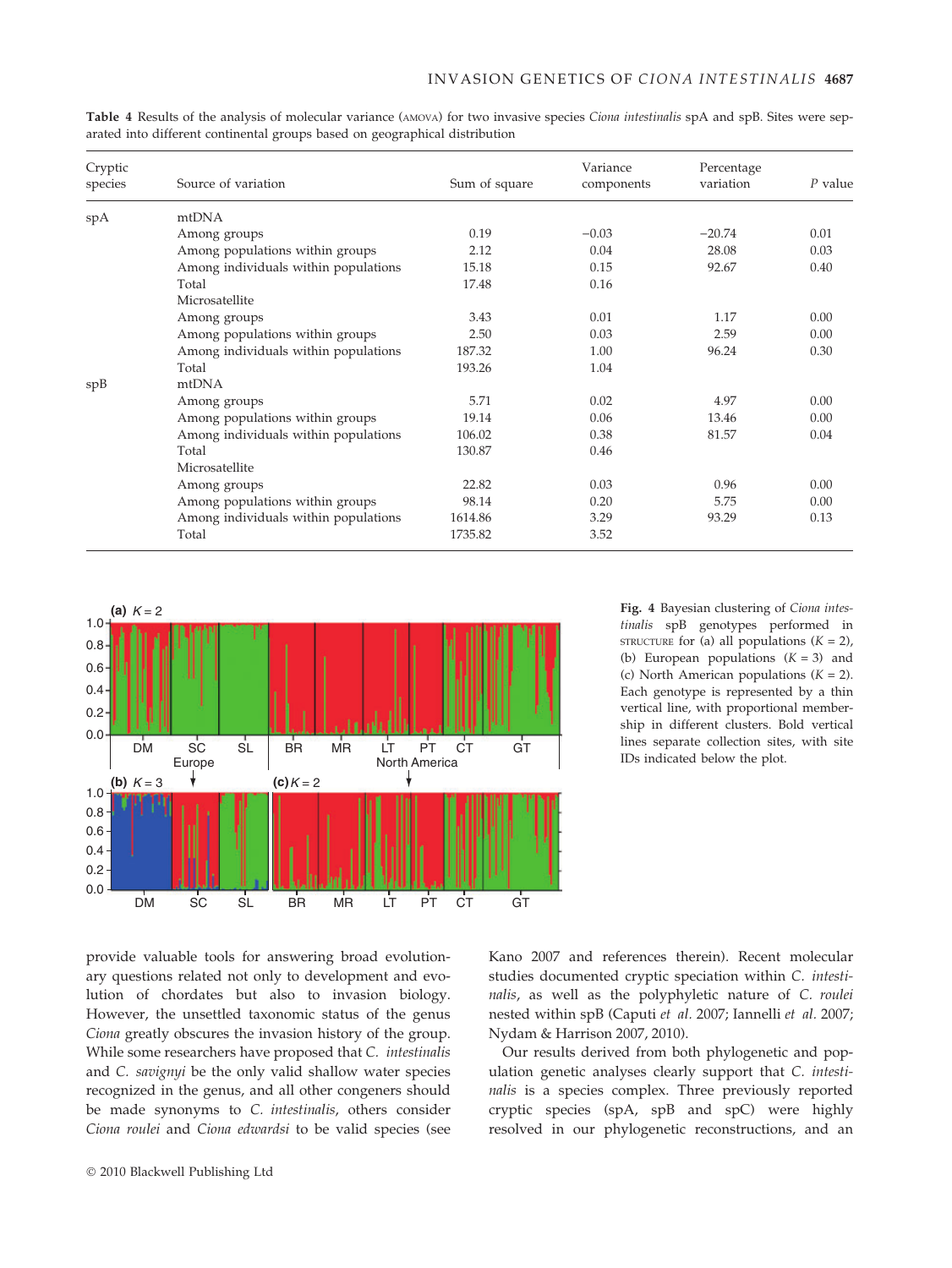| Cryptic<br>species | Source of variation                  | Sum of square | Variance<br>components | Percentage<br>variation | $P$ value |
|--------------------|--------------------------------------|---------------|------------------------|-------------------------|-----------|
| spA                | mtDNA                                |               |                        |                         |           |
|                    | Among groups                         | 0.19          | $-0.03$                | $-20.74$                | 0.01      |
|                    | Among populations within groups      | 2.12          | 0.04                   | 28.08                   | 0.03      |
|                    | Among individuals within populations | 15.18         | 0.15                   | 92.67                   | 0.40      |
|                    | Total                                | 17.48         | 0.16                   |                         |           |
|                    | Microsatellite                       |               |                        |                         |           |
|                    | Among groups                         | 3.43          | 0.01                   | 1.17                    | 0.00      |
|                    | Among populations within groups      | 2.50          | 0.03                   | 2.59                    | 0.00      |
|                    | Among individuals within populations | 187.32        | 1.00                   | 96.24                   | 0.30      |
|                    | Total                                | 193.26        | 1.04                   |                         |           |
| spB                | mtDNA                                |               |                        |                         |           |
|                    | Among groups                         | 5.71          | 0.02                   | 4.97                    | 0.00      |
|                    | Among populations within groups      | 19.14         | 0.06                   | 13.46                   | 0.00      |
|                    | Among individuals within populations | 106.02        | 0.38                   | 81.57                   | 0.04      |
|                    | Total                                | 130.87        | 0.46                   |                         |           |
|                    | Microsatellite                       |               |                        |                         |           |
|                    | Among groups                         | 22.82         | 0.03                   | 0.96                    | 0.00      |
|                    | Among populations within groups      | 98.14         | 0.20                   | 5.75                    | 0.00      |
|                    | Among individuals within populations | 1614.86       | 3.29                   | 93.29                   | 0.13      |
|                    | Total                                | 1735.82       | 3.52                   |                         |           |

Table 4 Results of the analysis of molecular variance (AMOVA) for two invasive species Ciona intestinalis spA and spB. Sites were separated into different continental groups based on geographical distribution



Fig. 4 Bayesian clustering of Ciona intestinalis spB genotypes performed in STRUCTURE for (a) all populations  $(K = 2)$ , (b) European populations  $(K = 3)$  and (c) North American populations  $(K = 2)$ . Each genotype is represented by a thin vertical line, with proportional membership in different clusters. Bold vertical lines separate collection sites, with site IDs indicated below the plot.

provide valuable tools for answering broad evolutionary questions related not only to development and evolution of chordates but also to invasion biology. However, the unsettled taxonomic status of the genus Ciona greatly obscures the invasion history of the group. While some researchers have proposed that C. intestinalis and C. savignyi be the only valid shallow water species recognized in the genus, and all other congeners should be made synonyms to C. intestinalis, others consider Ciona roulei and Ciona edwardsi to be valid species (see Kano 2007 and references therein). Recent molecular studies documented cryptic speciation within C. intestinalis, as well as the polyphyletic nature of C. roulei nested within spB (Caputi et al. 2007; Iannelli et al. 2007; Nydam & Harrison 2007, 2010).

Our results derived from both phylogenetic and population genetic analyses clearly support that C. intestinalis is a species complex. Three previously reported cryptic species (spA, spB and spC) were highly resolved in our phylogenetic reconstructions, and an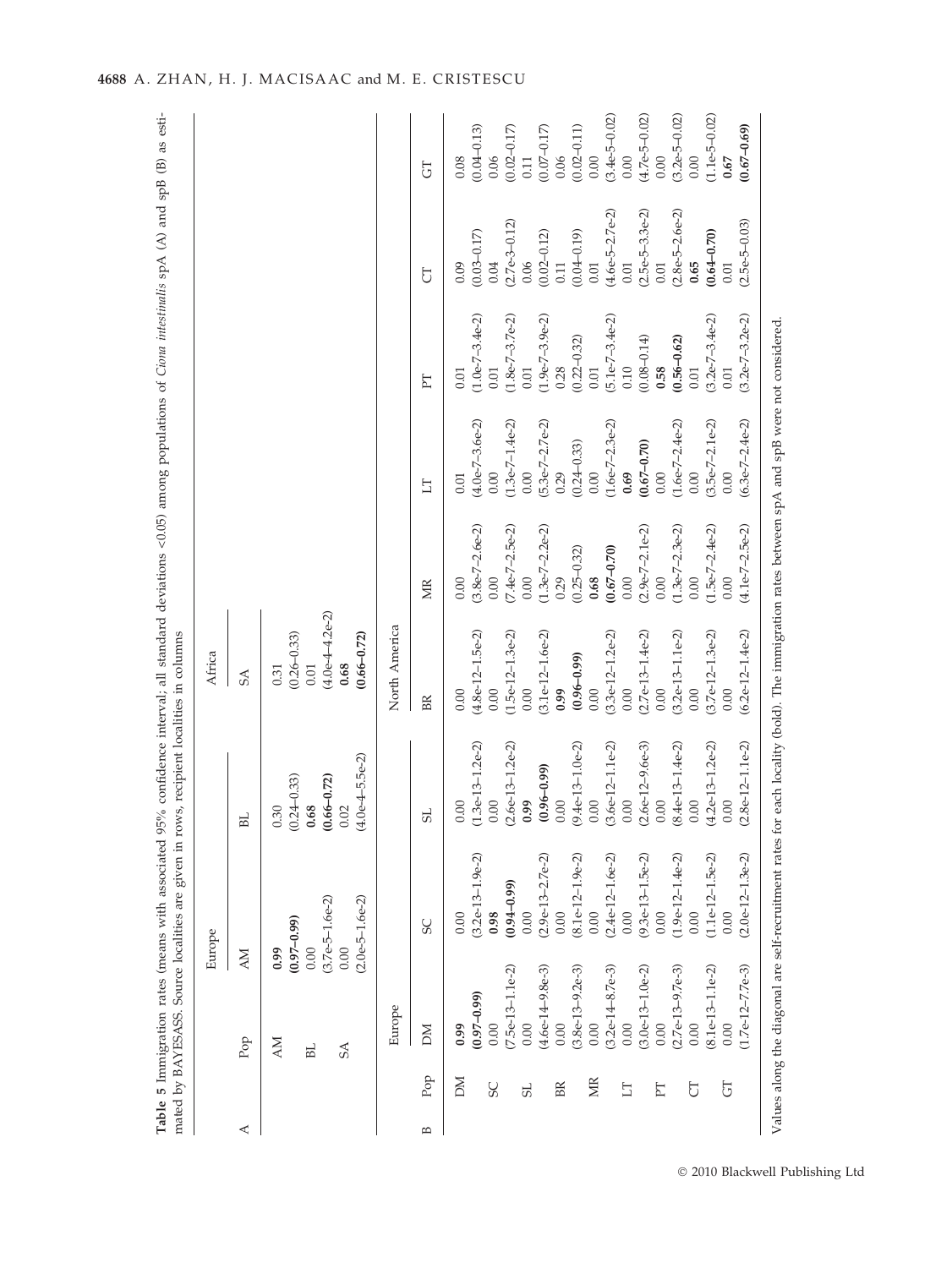|   |                |                                | Europe                                 |                                              | Africa                                       |                           |                           |                             |                             |                           |
|---|----------------|--------------------------------|----------------------------------------|----------------------------------------------|----------------------------------------------|---------------------------|---------------------------|-----------------------------|-----------------------------|---------------------------|
| ⋖ |                | <b>NN</b><br>$_{\mathrm{Pop}}$ |                                        | BL                                           | <b>SA</b>                                    |                           |                           |                             |                             |                           |
|   |                | 0.99<br><b>NN</b>              | $(0.97 - 0.99)$                        | $(0.24 - 0.33)$<br>0.30                      | $(0.26 - 0.33)$<br>0.31                      |                           |                           |                             |                             |                           |
|   |                | 0.00<br>BL.                    |                                        | 0.68                                         | 0.01                                         |                           |                           |                             |                             |                           |
|   |                | 0.00<br>SA                     | $(3.7e-5-1.6e-2)$<br>$(2.0e-5-1.6e-2)$ | $(4.0e-4-5.5e-2)$<br>$(0.66 - 0.72)$<br>0.02 | $(4.0e-4-4.2e-2)$<br>$(0.66 - 0.72)$<br>0.68 |                           |                           |                             |                             |                           |
|   |                | Europe                         |                                        |                                              | North America                                |                           |                           |                             |                             |                           |
| B | $\rm Pop$      | M                              | SC                                     | 5 <sub>L</sub>                               | BR                                           | ЙK                        | EI                        | FT                          | J                           | 5                         |
|   | MQ             | 0.99                           | 0.00                                   | 0.00                                         | 0.00                                         | 0.00                      | 0.01                      | 0.01                        | 0.09                        | 0.08                      |
|   | <b>SC</b>      | $(0.97 - 0.99)$<br>0.00        | $(3.2e-13-1.9e-2)$<br>0.98             | $(1.3e-13-1.2e-2)$<br>0.00                   | $(4.8e-12-1.5e-2)$<br>0.00                   | $(3.8e-7-2.6e-2)$<br>0.00 | $(4.0e-7-3.6e-2)$<br>0.00 | $(1.0e-7-3.4e-2)$<br>0.01   | $(0.03 - 0.17)$<br>0.04     | $(0.04 - 0.13)$<br>0.06   |
|   |                | $(7.5e-13-1.1e-2)$             | $(0.94 - 0.99)$                        | $(2.6e-13-1.2e-2)$                           | $(1.5e-12-1.3e-2)$                           | $(7.4e-7-2.5e-2)$         | $(1.3e-7-1.4e-2)$         | $(1.8e-7-3.7e-2)$           | $(2.7e-3-0.12)$             | $(0.02 - 0.17)$           |
|   | S <sub>L</sub> | 0.00                           | 0.00                                   | 0.99                                         | 0.00                                         | 0.00                      | 0.00                      | $0.01\,$                    | 0.06                        | 0.11                      |
|   |                | $(4.6e-14-9.8e-3)$             | $(2.9e-13-2.7e-2)$                     | $(0.96 - 0.99)$                              | $(3.1e-12-1.6e-2)$                           | $(1.3e-7-2.2e-2)$         | $(5.3e-7-2.7e-2)$         | $(1.9e-7-3.9e-2)$           | $(0.02 - 0.12)$             | $(0.07 - 0.17)$           |
|   | BR             | 0.00                           | 0.00                                   | 0.00                                         | 0.99                                         | 0.29                      | 0.29                      | 0.28                        | 0.11                        | 0.06                      |
|   | ЙK             | $(3.8e-13-9.2e-3)$<br>0.00     | $(8.1e-12-1.9e-2)$<br>0.00             | $(9.4e-13-1.0e-2)$<br>0.00                   | $(0.96 - 0.99)$<br>0.00                      | $(0.25 - 0.32)$<br>0.68   | $(0.24 - 0.33)$<br>0.00   | $(0.22 - 0.32)$<br>$0.01\,$ | $(0.04 - 0.19)$<br>$0.01\,$ | $(0.02 - 0.11)$<br>$0.00$ |
|   |                | $(3.2e-14-8.7e-3)$             | $(2.4e-12-1.6e-2)$                     | $(3.6e-12-1.1e-2)$                           | $(3.3e-12-1.2e-2)$                           | $(0.67 - 0.70)$           | $(1.6e-7-2.3e-2)$         | $(5.1e-7-3.4e-2)$           | $(4.6e-5-2.7e-2)$           | $(3.4e-5-0.02)$           |
|   | $\Box$         | 0.00                           | 0.00                                   | 0.00                                         | 0.00                                         | 0.00                      | 0.69                      | 0.10                        | $0.01\,$                    | 0.00                      |
|   |                | $(3.0e-13-1.0e-2)$             | $(9.3e-13-1.5e-2)$                     | $(2.6e-12-9.6e-3)$                           | $(2.7e-13-1.4e-2)$                           | $(2.9e-7-2.1e-2)$         | $(0.67 - 0.70)$           | $(0.08 - 0.14)$             | $(2.5e-5-3.3e-2)$           | $(4.7e-5-0.02)$           |
|   | FT             | 0.00                           | 0.00                                   | 0.00                                         | 0.00                                         | 0.00                      | 0.00                      | 0.58                        | $0.01\,$                    | 0.00                      |
|   |                | $(2.7e-13-9.7e-3)$             | $(1.9e-12-1.4e-2)$                     | $(8.4e-13-1.4e-2)$                           | $(3.2e-13-1.1e-2)$                           | $(1.3e-7-2.3e-2)$         | $(1.6e-7-2.4e-2)$         | $(0.56 - 0.62)$             | $(2.8e-5-2.6e-2)$           | $(3.2e-5-0.02)$           |
|   | <b>FD</b>      | $(8.1e-13-1.1e-2)$<br>0.00     | $(1.1e-12-1.5e-2)$<br>0.00             | $(4.2e-13-1.2e-2)$<br>0.00                   | $(3.7e-12-1.3e-2)$<br>0.00                   | $(1.5e-7-2.4e-2)$<br>0.00 | $(3.5e-7-2.1e-2)$<br>0.00 | $(3.2e-7-3.4e-2)$<br>0.01   | $(0.64 - 0.70)$<br>0.65     | $(1.1e-5-0.02)$<br>0.00   |
|   | 5              | 0.00                           | 0.00                                   | 0.00                                         | 0.00                                         | 0.00                      | 0.00                      | 0.01                        | 0.01                        | 0.67                      |
|   |                | $(1.7e-12-7.7e-3)$             | $(2.0e-12-1.3e-2)$                     | $(2.8e-12-1.1e-2)$                           | $(6.2e-12-1.4e-2)$                           | $(4.1e-7-2.5e-2)$         | $(6.3e-7-2.4e-2)$         | $(3.2e-7-3.2e-2)$           | $(2.5e-5-0.03)$             | $(0.67 - 0.69)$           |

4688 A. ZHAN, H. J. MACISAAC and M. E. CRISTESCU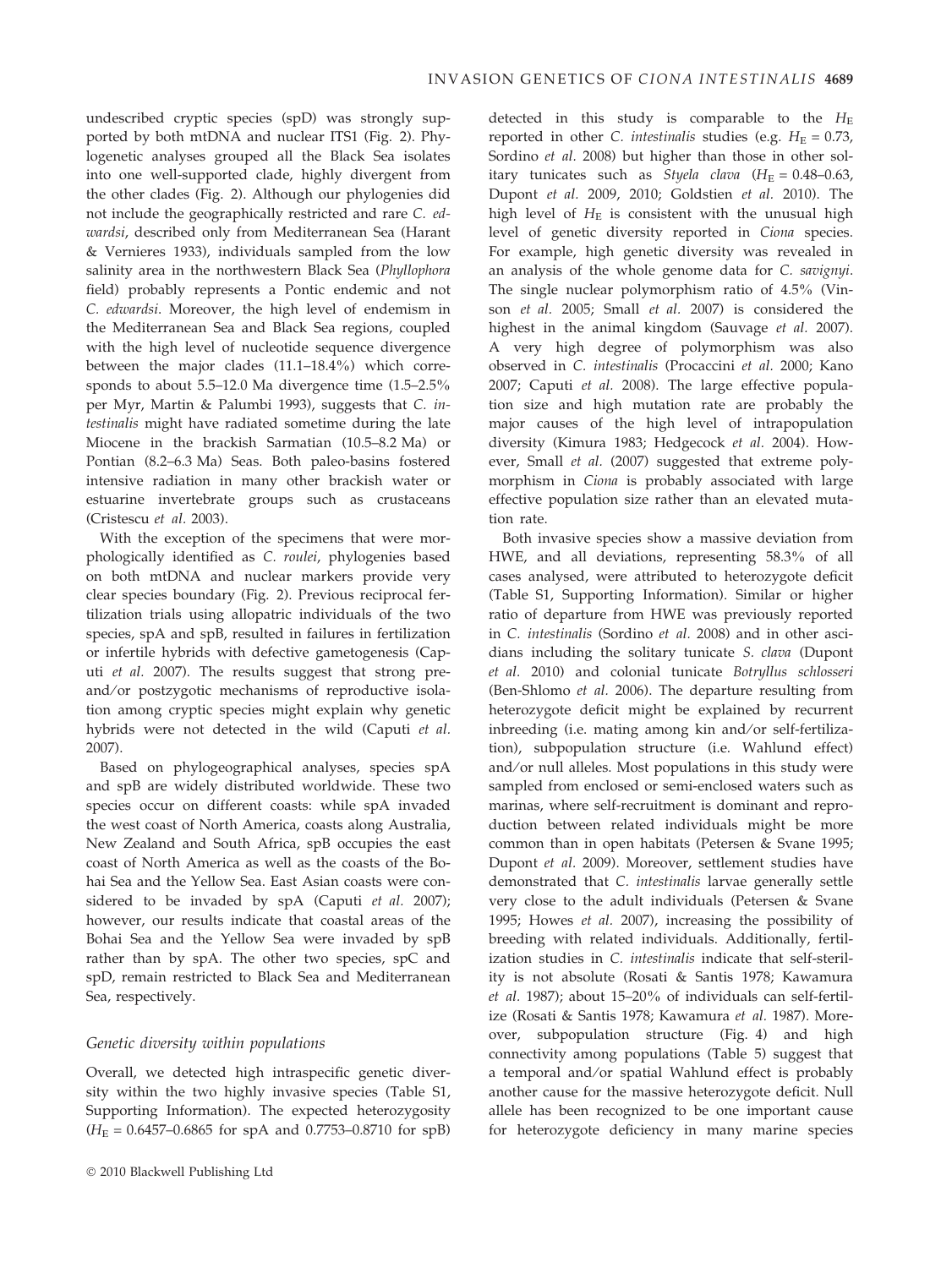undescribed cryptic species (spD) was strongly supported by both mtDNA and nuclear ITS1 (Fig. 2). Phylogenetic analyses grouped all the Black Sea isolates into one well-supported clade, highly divergent from the other clades (Fig. 2). Although our phylogenies did not include the geographically restricted and rare C. edwardsi, described only from Mediterranean Sea (Harant & Vernieres 1933), individuals sampled from the low salinity area in the northwestern Black Sea (Phyllophora field) probably represents a Pontic endemic and not C. edwardsi. Moreover, the high level of endemism in the Mediterranean Sea and Black Sea regions, coupled with the high level of nucleotide sequence divergence between the major clades (11.1–18.4%) which corresponds to about 5.5–12.0 Ma divergence time (1.5–2.5% per Myr, Martin & Palumbi 1993), suggests that C. intestinalis might have radiated sometime during the late Miocene in the brackish Sarmatian (10.5–8.2 Ma) or Pontian (8.2–6.3 Ma) Seas. Both paleo-basins fostered intensive radiation in many other brackish water or estuarine invertebrate groups such as crustaceans (Cristescu et al. 2003).

With the exception of the specimens that were morphologically identified as C. roulei, phylogenies based on both mtDNA and nuclear markers provide very clear species boundary (Fig. 2). Previous reciprocal fertilization trials using allopatric individuals of the two species, spA and spB, resulted in failures in fertilization or infertile hybrids with defective gametogenesis (Caputi et al. 2007). The results suggest that strong preand/or postzygotic mechanisms of reproductive isolation among cryptic species might explain why genetic hybrids were not detected in the wild (Caputi et al. 2007).

Based on phylogeographical analyses, species spA and spB are widely distributed worldwide. These two species occur on different coasts: while spA invaded the west coast of North America, coasts along Australia, New Zealand and South Africa, spB occupies the east coast of North America as well as the coasts of the Bohai Sea and the Yellow Sea. East Asian coasts were considered to be invaded by spA (Caputi et al. 2007); however, our results indicate that coastal areas of the Bohai Sea and the Yellow Sea were invaded by spB rather than by spA. The other two species, spC and spD, remain restricted to Black Sea and Mediterranean Sea, respectively.

# Genetic diversity within populations

Overall, we detected high intraspecific genetic diversity within the two highly invasive species (Table S1, Supporting Information). The expected heterozygosity  $(H_E = 0.6457 - 0.6865$  for spA and 0.7753-0.8710 for spB) detected in this study is comparable to the  $H_{\rm E}$ reported in other C. *intestinalis* studies (e.g.  $H_E = 0.73$ , Sordino et al. 2008) but higher than those in other solitary tunicates such as Styela clava  $(H_E = 0.48-0.63)$ , Dupont et al. 2009, 2010; Goldstien et al. 2010). The high level of  $H<sub>E</sub>$  is consistent with the unusual high level of genetic diversity reported in Ciona species. For example, high genetic diversity was revealed in an analysis of the whole genome data for C. savignyi. The single nuclear polymorphism ratio of 4.5% (Vinson et al. 2005; Small et al. 2007) is considered the highest in the animal kingdom (Sauvage et al. 2007). A very high degree of polymorphism was also observed in C. intestinalis (Procaccini et al. 2000; Kano 2007; Caputi et al. 2008). The large effective population size and high mutation rate are probably the major causes of the high level of intrapopulation diversity (Kimura 1983; Hedgecock et al. 2004). However, Small et al. (2007) suggested that extreme polymorphism in Ciona is probably associated with large effective population size rather than an elevated mutation rate.

Both invasive species show a massive deviation from HWE, and all deviations, representing 58.3% of all cases analysed, were attributed to heterozygote deficit (Table S1, Supporting Information). Similar or higher ratio of departure from HWE was previously reported in C. intestinalis (Sordino et al. 2008) and in other ascidians including the solitary tunicate S. clava (Dupont et al. 2010) and colonial tunicate Botryllus schlosseri (Ben-Shlomo et al. 2006). The departure resulting from heterozygote deficit might be explained by recurrent inbreeding (i.e. mating among kin and/or self-fertilization), subpopulation structure (i.e. Wahlund effect) and/or null alleles. Most populations in this study were sampled from enclosed or semi-enclosed waters such as marinas, where self-recruitment is dominant and reproduction between related individuals might be more common than in open habitats (Petersen & Svane 1995; Dupont et al. 2009). Moreover, settlement studies have demonstrated that C. intestinalis larvae generally settle very close to the adult individuals (Petersen & Svane 1995; Howes et al. 2007), increasing the possibility of breeding with related individuals. Additionally, fertilization studies in C. intestinalis indicate that self-sterility is not absolute (Rosati & Santis 1978; Kawamura et al. 1987); about 15–20% of individuals can self-fertilize (Rosati & Santis 1978; Kawamura et al. 1987). Moreover, subpopulation structure (Fig. 4) and high connectivity among populations (Table 5) suggest that a temporal and/or spatial Wahlund effect is probably another cause for the massive heterozygote deficit. Null allele has been recognized to be one important cause for heterozygote deficiency in many marine species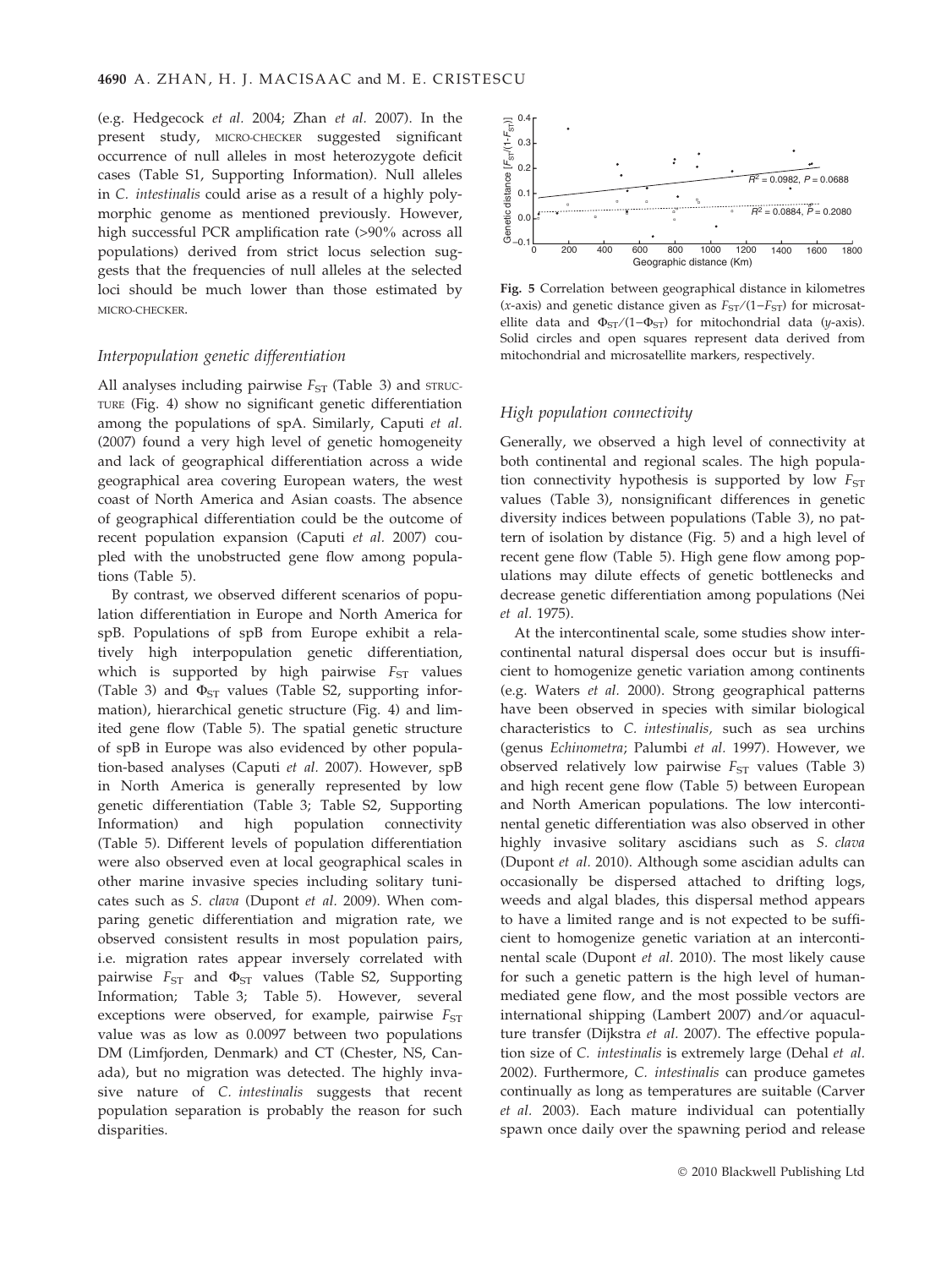(e.g. Hedgecock et al. 2004; Zhan et al. 2007). In the present study, MICRO-CHECKER suggested significant occurrence of null alleles in most heterozygote deficit cases (Table S1, Supporting Information). Null alleles in C. intestinalis could arise as a result of a highly polymorphic genome as mentioned previously. However, high successful PCR amplification rate (>90% across all populations) derived from strict locus selection suggests that the frequencies of null alleles at the selected loci should be much lower than those estimated by MICRO-CHECKER.

#### Interpopulation genetic differentiation

All analyses including pairwise  $F_{ST}$  (Table 3) and  $STRUC-$ TURE (Fig. 4) show no significant genetic differentiation among the populations of spA. Similarly, Caputi et al. (2007) found a very high level of genetic homogeneity and lack of geographical differentiation across a wide geographical area covering European waters, the west coast of North America and Asian coasts. The absence of geographical differentiation could be the outcome of recent population expansion (Caputi et al. 2007) coupled with the unobstructed gene flow among populations (Table 5).

By contrast, we observed different scenarios of population differentiation in Europe and North America for spB. Populations of spB from Europe exhibit a relatively high interpopulation genetic differentiation, which is supported by high pairwise  $F_{ST}$  values (Table 3) and  $\Phi_{ST}$  values (Table S2, supporting information), hierarchical genetic structure (Fig. 4) and limited gene flow (Table 5). The spatial genetic structure of spB in Europe was also evidenced by other population-based analyses (Caputi et al. 2007). However, spB in North America is generally represented by low genetic differentiation (Table 3; Table S2, Supporting Information) and high population connectivity (Table 5). Different levels of population differentiation were also observed even at local geographical scales in other marine invasive species including solitary tunicates such as S. clava (Dupont et al. 2009). When comparing genetic differentiation and migration rate, we observed consistent results in most population pairs, i.e. migration rates appear inversely correlated with pairwise  $F_{ST}$  and  $\Phi_{ST}$  values (Table S2, Supporting Information; Table 3; Table 5). However, several exceptions were observed, for example, pairwise  $F_{ST}$ value was as low as 0.0097 between two populations DM (Limfjorden, Denmark) and CT (Chester, NS, Canada), but no migration was detected. The highly invasive nature of C. intestinalis suggests that recent population separation is probably the reason for such disparities.



Fig. 5 Correlation between geographical distance in kilometres (x-axis) and genetic distance given as  $F_{ST}/(1-F_{ST})$  for microsatellite data and  $\Phi_{ST}/(1-\Phi_{ST})$  for mitochondrial data (y-axis). Solid circles and open squares represent data derived from mitochondrial and microsatellite markers, respectively.

#### High population connectivity

Generally, we observed a high level of connectivity at both continental and regional scales. The high population connectivity hypothesis is supported by low  $F_{ST}$ values (Table 3), nonsignificant differences in genetic diversity indices between populations (Table 3), no pattern of isolation by distance (Fig. 5) and a high level of recent gene flow (Table 5). High gene flow among populations may dilute effects of genetic bottlenecks and decrease genetic differentiation among populations (Nei et al. 1975).

At the intercontinental scale, some studies show intercontinental natural dispersal does occur but is insufficient to homogenize genetic variation among continents (e.g. Waters et al. 2000). Strong geographical patterns have been observed in species with similar biological characteristics to C. intestinalis, such as sea urchins (genus Echinometra; Palumbi et al. 1997). However, we observed relatively low pairwise  $F_{ST}$  values (Table 3) and high recent gene flow (Table 5) between European and North American populations. The low intercontinental genetic differentiation was also observed in other highly invasive solitary ascidians such as S. clava (Dupont et al. 2010). Although some ascidian adults can occasionally be dispersed attached to drifting logs, weeds and algal blades, this dispersal method appears to have a limited range and is not expected to be sufficient to homogenize genetic variation at an intercontinental scale (Dupont et al. 2010). The most likely cause for such a genetic pattern is the high level of humanmediated gene flow, and the most possible vectors are international shipping (Lambert 2007) and/or aquaculture transfer (Dijkstra et al. 2007). The effective population size of C. intestinalis is extremely large (Dehal et al. 2002). Furthermore, C. intestinalis can produce gametes continually as long as temperatures are suitable (Carver et al. 2003). Each mature individual can potentially spawn once daily over the spawning period and release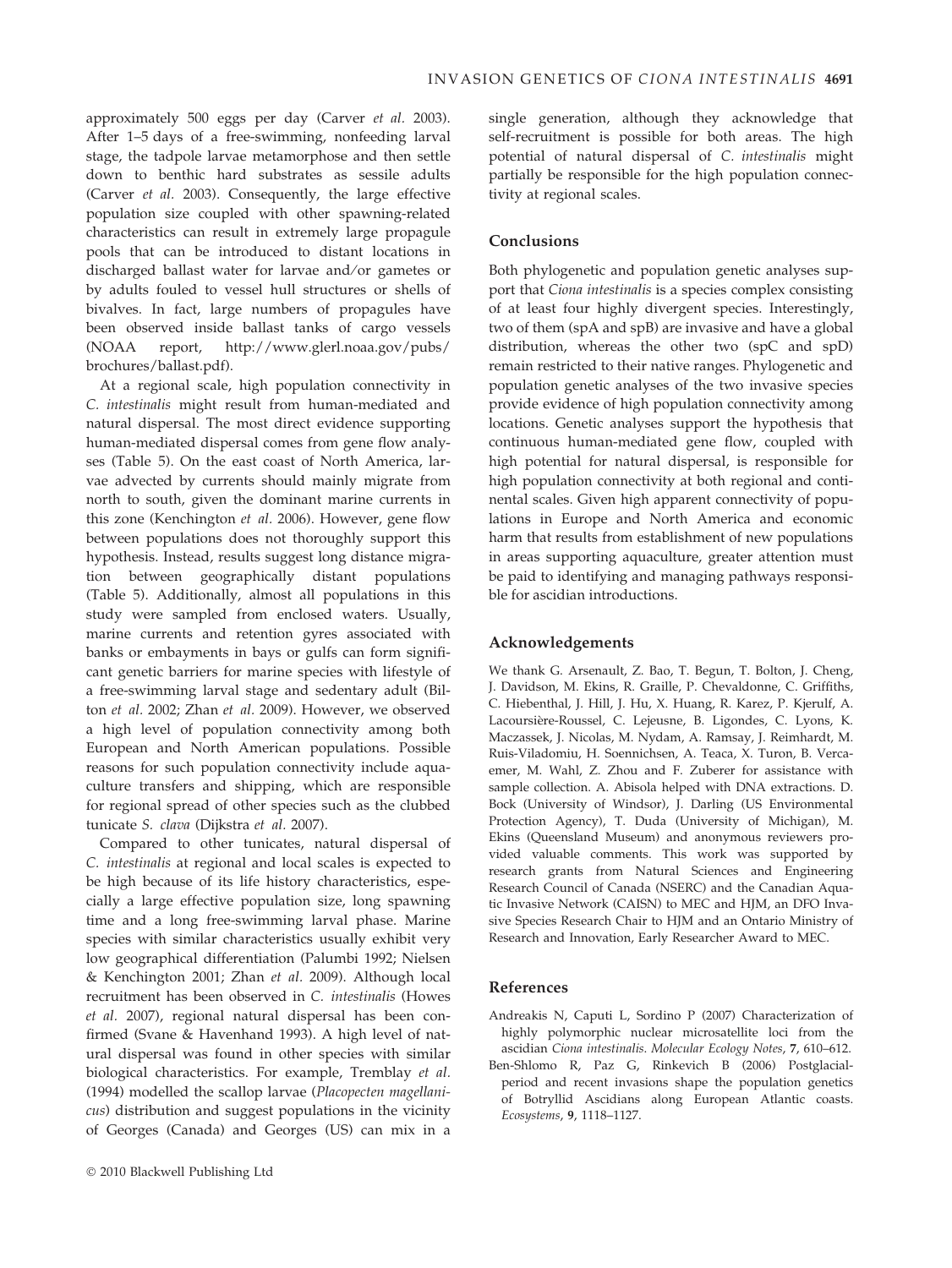approximately 500 eggs per day (Carver et al. 2003). After 1–5 days of a free-swimming, nonfeeding larval stage, the tadpole larvae metamorphose and then settle down to benthic hard substrates as sessile adults (Carver et al. 2003). Consequently, the large effective population size coupled with other spawning-related characteristics can result in extremely large propagule pools that can be introduced to distant locations in discharged ballast water for larvae and/or gametes or by adults fouled to vessel hull structures or shells of bivalves. In fact, large numbers of propagules have been observed inside ballast tanks of cargo vessels (NOAA report, http://www.glerl.noaa.gov/pubs/ brochures/ballast.pdf).

At a regional scale, high population connectivity in C. intestinalis might result from human-mediated and natural dispersal. The most direct evidence supporting human-mediated dispersal comes from gene flow analyses (Table 5). On the east coast of North America, larvae advected by currents should mainly migrate from north to south, given the dominant marine currents in this zone (Kenchington et al. 2006). However, gene flow between populations does not thoroughly support this hypothesis. Instead, results suggest long distance migration between geographically distant populations (Table 5). Additionally, almost all populations in this study were sampled from enclosed waters. Usually, marine currents and retention gyres associated with banks or embayments in bays or gulfs can form significant genetic barriers for marine species with lifestyle of a free-swimming larval stage and sedentary adult (Bilton et al. 2002; Zhan et al. 2009). However, we observed a high level of population connectivity among both European and North American populations. Possible reasons for such population connectivity include aquaculture transfers and shipping, which are responsible for regional spread of other species such as the clubbed tunicate S. clava (Dijkstra et al. 2007).

Compared to other tunicates, natural dispersal of C. intestinalis at regional and local scales is expected to be high because of its life history characteristics, especially a large effective population size, long spawning time and a long free-swimming larval phase. Marine species with similar characteristics usually exhibit very low geographical differentiation (Palumbi 1992; Nielsen & Kenchington 2001; Zhan et al. 2009). Although local recruitment has been observed in C. intestinalis (Howes et al. 2007), regional natural dispersal has been confirmed (Svane & Havenhand 1993). A high level of natural dispersal was found in other species with similar biological characteristics. For example, Tremblay et al. (1994) modelled the scallop larvae (Placopecten magellanicus) distribution and suggest populations in the vicinity of Georges (Canada) and Georges (US) can mix in a

single generation, although they acknowledge that self-recruitment is possible for both areas. The high potential of natural dispersal of C. intestinalis might partially be responsible for the high population connectivity at regional scales.

# Conclusions

Both phylogenetic and population genetic analyses support that Ciona intestinalis is a species complex consisting of at least four highly divergent species. Interestingly, two of them (spA and spB) are invasive and have a global distribution, whereas the other two (spC and spD) remain restricted to their native ranges. Phylogenetic and population genetic analyses of the two invasive species provide evidence of high population connectivity among locations. Genetic analyses support the hypothesis that continuous human-mediated gene flow, coupled with high potential for natural dispersal, is responsible for high population connectivity at both regional and continental scales. Given high apparent connectivity of populations in Europe and North America and economic harm that results from establishment of new populations in areas supporting aquaculture, greater attention must be paid to identifying and managing pathways responsible for ascidian introductions.

# Acknowledgements

We thank G. Arsenault, Z. Bao, T. Begun, T. Bolton, J. Cheng, J. Davidson, M. Ekins, R. Graille, P. Chevaldonne, C. Griffiths, C. Hiebenthal, J. Hill, J. Hu, X. Huang, R. Karez, P. Kjerulf, A. Lacoursière-Roussel, C. Lejeusne, B. Ligondes, C. Lyons, K. Maczassek, J. Nicolas, M. Nydam, A. Ramsay, J. Reimhardt, M. Ruis-Viladomiu, H. Soennichsen, A. Teaca, X. Turon, B. Vercaemer, M. Wahl, Z. Zhou and F. Zuberer for assistance with sample collection. A. Abisola helped with DNA extractions. D. Bock (University of Windsor), J. Darling (US Environmental Protection Agency), T. Duda (University of Michigan), M. Ekins (Queensland Museum) and anonymous reviewers provided valuable comments. This work was supported by research grants from Natural Sciences and Engineering Research Council of Canada (NSERC) and the Canadian Aquatic Invasive Network (CAISN) to MEC and HJM, an DFO Invasive Species Research Chair to HJM and an Ontario Ministry of Research and Innovation, Early Researcher Award to MEC.

## References

- Andreakis N, Caputi L, Sordino P (2007) Characterization of highly polymorphic nuclear microsatellite loci from the ascidian Ciona intestinalis. Molecular Ecology Notes, 7, 610–612.
- Ben-Shlomo R, Paz G, Rinkevich B (2006) Postglacialperiod and recent invasions shape the population genetics of Botryllid Ascidians along European Atlantic coasts. Ecosystems, 9, 1118–1127.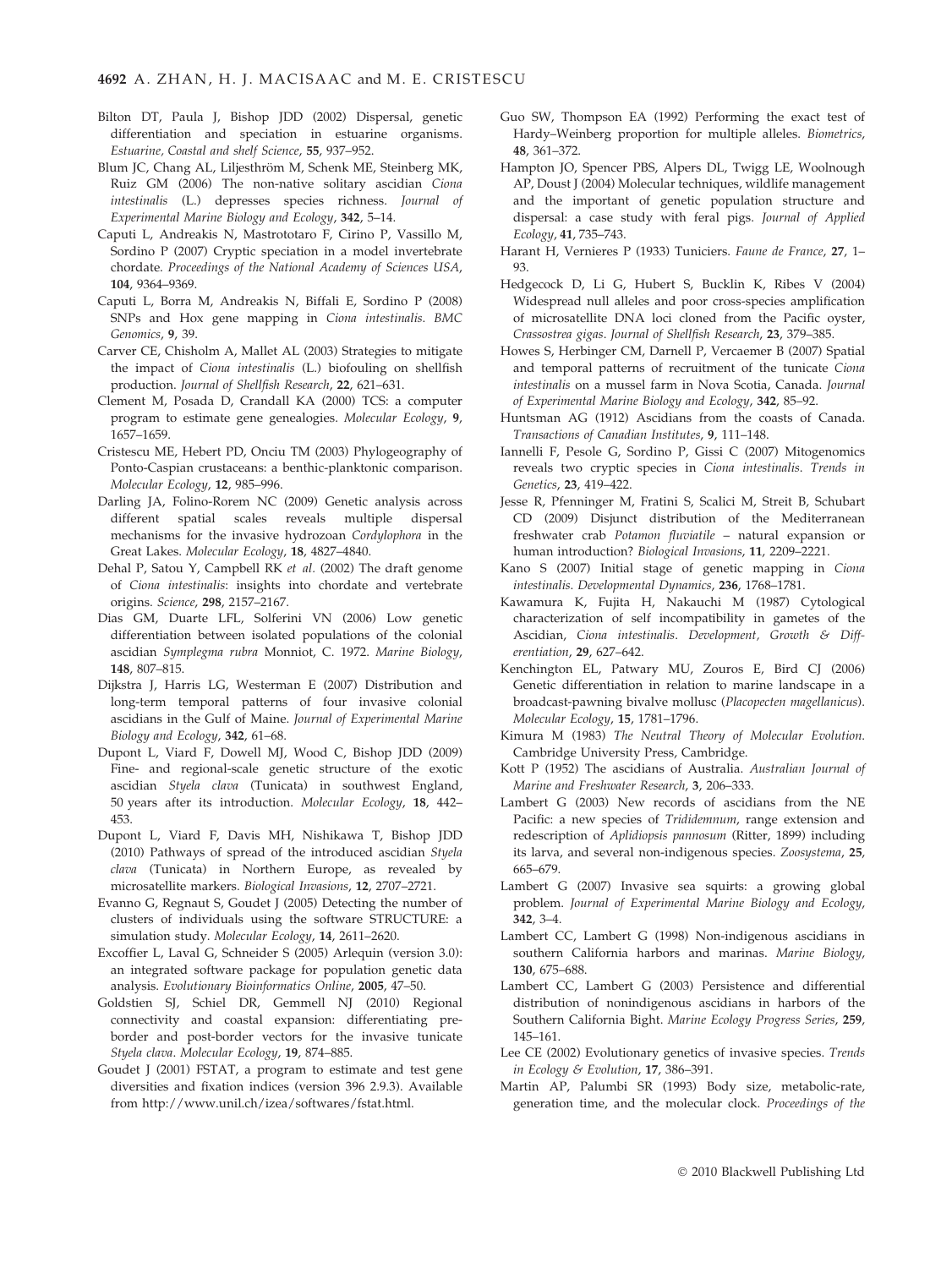- Bilton DT, Paula J, Bishop JDD (2002) Dispersal, genetic differentiation and speciation in estuarine organisms. Estuarine, Coastal and shelf Science, 55, 937–952.
- Blum JC, Chang AL, Liljesthröm M, Schenk ME, Steinberg MK, Ruiz GM (2006) The non-native solitary ascidian Ciona intestinalis (L.) depresses species richness. Journal of Experimental Marine Biology and Ecology, 342, 5–14.
- Caputi L, Andreakis N, Mastrototaro F, Cirino P, Vassillo M, Sordino P (2007) Cryptic speciation in a model invertebrate chordate. Proceedings of the National Academy of Sciences USA, 104, 9364–9369.
- Caputi L, Borra M, Andreakis N, Biffali E, Sordino P (2008) SNPs and Hox gene mapping in Ciona intestinalis. BMC Genomics, 9, 39.
- Carver CE, Chisholm A, Mallet AL (2003) Strategies to mitigate the impact of Ciona intestinalis (L.) biofouling on shellfish production. Journal of Shellfish Research, 22, 621–631.
- Clement M, Posada D, Crandall KA (2000) TCS: a computer program to estimate gene genealogies. Molecular Ecology, 9, 1657–1659.
- Cristescu ME, Hebert PD, Onciu TM (2003) Phylogeography of Ponto-Caspian crustaceans: a benthic-planktonic comparison. Molecular Ecology, 12, 985–996.
- Darling JA, Folino-Rorem NC (2009) Genetic analysis across different spatial scales reveals multiple dispersal mechanisms for the invasive hydrozoan Cordylophora in the Great Lakes. Molecular Ecology, 18, 4827–4840.
- Dehal P, Satou Y, Campbell RK et al. (2002) The draft genome of Ciona intestinalis: insights into chordate and vertebrate origins. Science, 298, 2157–2167.
- Dias GM, Duarte LFL, Solferini VN (2006) Low genetic differentiation between isolated populations of the colonial ascidian Symplegma rubra Monniot, C. 1972. Marine Biology, 148, 807–815.
- Dijkstra J, Harris LG, Westerman E (2007) Distribution and long-term temporal patterns of four invasive colonial ascidians in the Gulf of Maine. Journal of Experimental Marine Biology and Ecology, 342, 61–68.
- Dupont L, Viard F, Dowell MJ, Wood C, Bishop JDD (2009) Fine- and regional-scale genetic structure of the exotic ascidian Styela clava (Tunicata) in southwest England, 50 years after its introduction. Molecular Ecology, 18, 442– 453.
- Dupont L, Viard F, Davis MH, Nishikawa T, Bishop JDD (2010) Pathways of spread of the introduced ascidian Styela clava (Tunicata) in Northern Europe, as revealed by microsatellite markers. Biological Invasions, 12, 2707–2721.
- Evanno G, Regnaut S, Goudet J (2005) Detecting the number of clusters of individuals using the software STRUCTURE: a simulation study. Molecular Ecology, 14, 2611–2620.
- Excoffier L, Laval G, Schneider S (2005) Arlequin (version 3.0): an integrated software package for population genetic data analysis. Evolutionary Bioinformatics Online, 2005, 47–50.
- Goldstien SJ, Schiel DR, Gemmell NJ (2010) Regional connectivity and coastal expansion: differentiating preborder and post-border vectors for the invasive tunicate Styela clava. Molecular Ecology, 19, 874–885.
- Goudet J (2001) FSTAT, a program to estimate and test gene diversities and fixation indices (version 396 2.9.3). Available from http://www.unil.ch/izea/softwares/fstat.html.
- Guo SW, Thompson EA (1992) Performing the exact test of Hardy–Weinberg proportion for multiple alleles. Biometrics, 48, 361–372.
- Hampton JO, Spencer PBS, Alpers DL, Twigg LE, Woolnough AP, Doust J (2004) Molecular techniques, wildlife management and the important of genetic population structure and dispersal: a case study with feral pigs. Journal of Applied Ecology, 41, 735–743.
- Harant H, Vernieres P (1933) Tuniciers. Faune de France, 27, 1– 93.
- Hedgecock D, Li G, Hubert S, Bucklin K, Ribes V (2004) Widespread null alleles and poor cross-species amplification of microsatellite DNA loci cloned from the Pacific oyster, Crassostrea gigas. Journal of Shellfish Research, 23, 379–385.
- Howes S, Herbinger CM, Darnell P, Vercaemer B (2007) Spatial and temporal patterns of recruitment of the tunicate Ciona intestinalis on a mussel farm in Nova Scotia, Canada. Journal of Experimental Marine Biology and Ecology, 342, 85–92.
- Huntsman AG (1912) Ascidians from the coasts of Canada. Transactions of Canadian Institutes, 9, 111–148.
- Iannelli F, Pesole G, Sordino P, Gissi C (2007) Mitogenomics reveals two cryptic species in Ciona intestinalis. Trends in Genetics, 23, 419–422.
- Jesse R, Pfenninger M, Fratini S, Scalici M, Streit B, Schubart CD (2009) Disjunct distribution of the Mediterranean freshwater crab Potamon fluviatile – natural expansion or human introduction? Biological Invasions, 11, 2209–2221.
- Kano S (2007) Initial stage of genetic mapping in Ciona intestinalis. Developmental Dynamics, 236, 1768–1781.
- Kawamura K, Fujita H, Nakauchi M (1987) Cytological characterization of self incompatibility in gametes of the Ascidian, Ciona intestinalis. Development, Growth & Differentiation, 29, 627–642.
- Kenchington EL, Patwary MU, Zouros E, Bird CJ (2006) Genetic differentiation in relation to marine landscape in a broadcast-pawning bivalve mollusc (Placopecten magellanicus). Molecular Ecology, 15, 1781–1796.
- Kimura M (1983) The Neutral Theory of Molecular Evolution. Cambridge University Press, Cambridge.
- Kott P (1952) The ascidians of Australia. Australian Journal of Marine and Freshwater Research, 3, 206–333.
- Lambert G (2003) New records of ascidians from the NE Pacific: a new species of Trididemnum, range extension and redescription of Aplidiopsis pannosum (Ritter, 1899) including its larva, and several non-indigenous species. Zoosystema, 25, 665–679.
- Lambert G (2007) Invasive sea squirts: a growing global problem. Journal of Experimental Marine Biology and Ecology, 342, 3–4.
- Lambert CC, Lambert G (1998) Non-indigenous ascidians in southern California harbors and marinas. Marine Biology, 130, 675–688.
- Lambert CC, Lambert G (2003) Persistence and differential distribution of nonindigenous ascidians in harbors of the Southern California Bight. Marine Ecology Progress Series, 259, 145–161.
- Lee CE (2002) Evolutionary genetics of invasive species. Trends in Ecology & Evolution, 17, 386–391.
- Martin AP, Palumbi SR (1993) Body size, metabolic-rate, generation time, and the molecular clock. Proceedings of the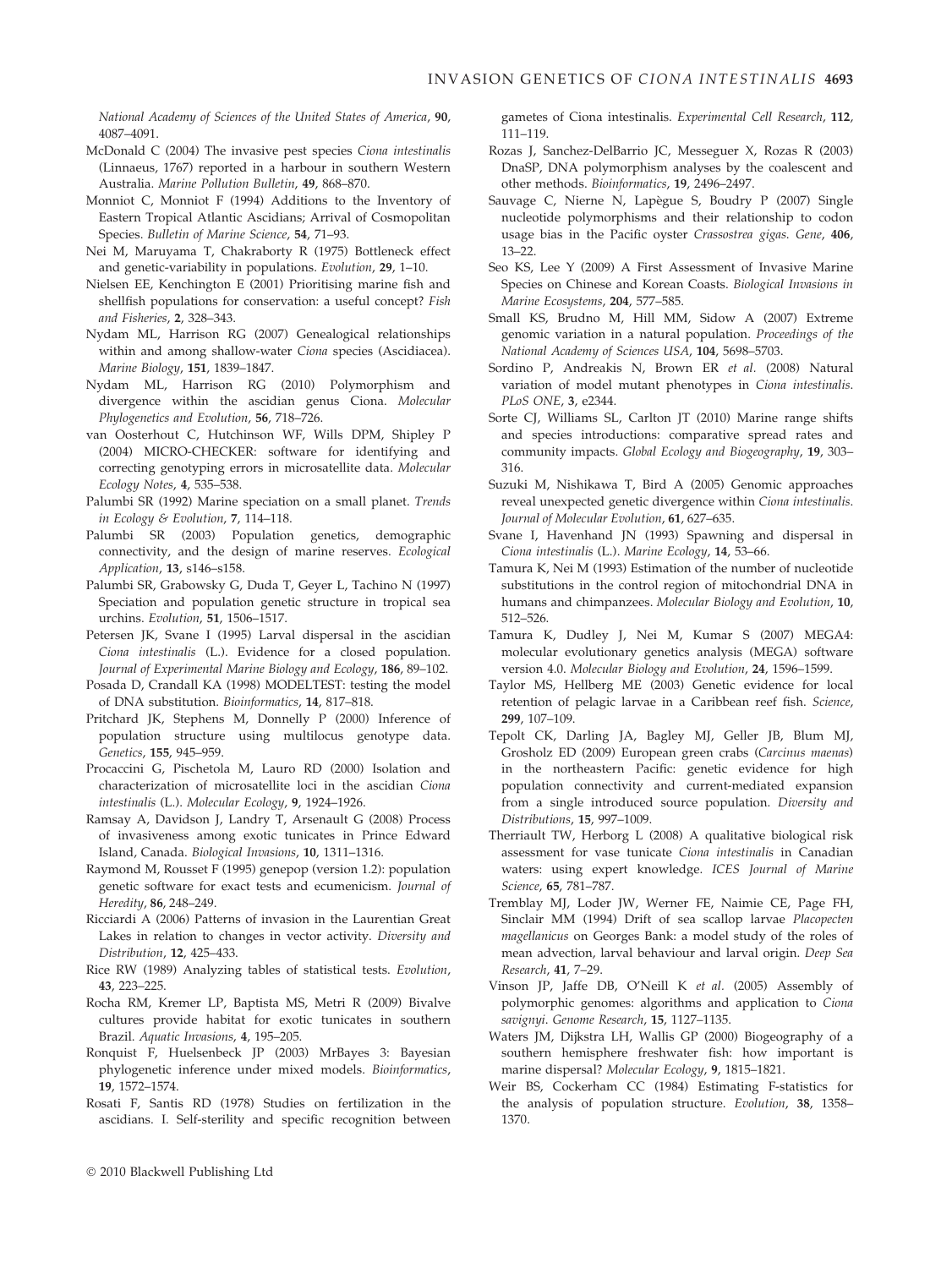National Academy of Sciences of the United States of America, 90, 4087–4091.

- McDonald C (2004) The invasive pest species Ciona intestinalis (Linnaeus, 1767) reported in a harbour in southern Western Australia. Marine Pollution Bulletin, 49, 868–870.
- Monniot C, Monniot F (1994) Additions to the Inventory of Eastern Tropical Atlantic Ascidians; Arrival of Cosmopolitan Species. Bulletin of Marine Science, 54, 71–93.
- Nei M, Maruyama T, Chakraborty R (1975) Bottleneck effect and genetic-variability in populations. Evolution, 29, 1–10.
- Nielsen EE, Kenchington E (2001) Prioritising marine fish and shellfish populations for conservation: a useful concept? Fish and Fisheries, 2, 328–343.
- Nydam ML, Harrison RG (2007) Genealogical relationships within and among shallow-water Ciona species (Ascidiacea). Marine Biology, 151, 1839–1847.
- Nydam ML, Harrison RG (2010) Polymorphism and divergence within the ascidian genus Ciona. Molecular Phylogenetics and Evolution, 56, 718–726.
- van Oosterhout C, Hutchinson WF, Wills DPM, Shipley P (2004) MICRO-CHECKER: software for identifying and correcting genotyping errors in microsatellite data. Molecular Ecology Notes, 4, 535–538.
- Palumbi SR (1992) Marine speciation on a small planet. Trends in Ecology & Evolution, 7, 114–118.
- Palumbi SR (2003) Population genetics, demographic connectivity, and the design of marine reserves. Ecological Application, 13, s146–s158.
- Palumbi SR, Grabowsky G, Duda T, Geyer L, Tachino N (1997) Speciation and population genetic structure in tropical sea urchins. Evolution, 51, 1506–1517.
- Petersen JK, Svane I (1995) Larval dispersal in the ascidian Ciona intestinalis (L.). Evidence for a closed population. Journal of Experimental Marine Biology and Ecology, 186, 89–102.
- Posada D, Crandall KA (1998) MODELTEST: testing the model of DNA substitution. Bioinformatics, 14, 817–818.
- Pritchard JK, Stephens M, Donnelly P (2000) Inference of population structure using multilocus genotype data. Genetics, 155, 945–959.
- Procaccini G, Pischetola M, Lauro RD (2000) Isolation and characterization of microsatellite loci in the ascidian Ciona intestinalis (L.). Molecular Ecology, 9, 1924–1926.
- Ramsay A, Davidson J, Landry T, Arsenault G (2008) Process of invasiveness among exotic tunicates in Prince Edward Island, Canada. Biological Invasions, 10, 1311–1316.
- Raymond M, Rousset F (1995) genepop (version 1.2): population genetic software for exact tests and ecumenicism. Journal of Heredity, 86, 248–249.
- Ricciardi A (2006) Patterns of invasion in the Laurentian Great Lakes in relation to changes in vector activity. Diversity and Distribution, 12, 425–433.
- Rice RW (1989) Analyzing tables of statistical tests. Evolution, 43, 223–225.
- Rocha RM, Kremer LP, Baptista MS, Metri R (2009) Bivalve cultures provide habitat for exotic tunicates in southern Brazil. Aquatic Invasions, 4, 195–205.
- Ronquist F, Huelsenbeck JP (2003) MrBayes 3: Bayesian phylogenetic inference under mixed models. Bioinformatics, 19, 1572–1574.
- Rosati F, Santis RD (1978) Studies on fertilization in the ascidians. I. Self-sterility and specific recognition between

gametes of Ciona intestinalis. Experimental Cell Research, 112, 111–119.

- Rozas J, Sanchez-DelBarrio JC, Messeguer X, Rozas R (2003) DnaSP, DNA polymorphism analyses by the coalescent and other methods. Bioinformatics, 19, 2496–2497.
- Sauvage C, Nierne N, Lapègue S, Boudry P (2007) Single nucleotide polymorphisms and their relationship to codon usage bias in the Pacific oyster Crassostrea gigas. Gene, 406,  $13 - 22$ .
- Seo KS, Lee Y (2009) A First Assessment of Invasive Marine Species on Chinese and Korean Coasts. Biological Invasions in Marine Ecosystems, 204, 577–585.
- Small KS, Brudno M, Hill MM, Sidow A (2007) Extreme genomic variation in a natural population. Proceedings of the National Academy of Sciences USA, 104, 5698–5703.
- Sordino P, Andreakis N, Brown ER et al. (2008) Natural variation of model mutant phenotypes in Ciona intestinalis. PLoS ONE, 3, e2344.
- Sorte CJ, Williams SL, Carlton JT (2010) Marine range shifts and species introductions: comparative spread rates and community impacts. Global Ecology and Biogeography, 19, 303– 316.
- Suzuki M, Nishikawa T, Bird A (2005) Genomic approaches reveal unexpected genetic divergence within Ciona intestinalis. Journal of Molecular Evolution, 61, 627–635.
- Svane I, Havenhand JN (1993) Spawning and dispersal in Ciona intestinalis (L.). Marine Ecology, 14, 53–66.
- Tamura K, Nei M (1993) Estimation of the number of nucleotide substitutions in the control region of mitochondrial DNA in humans and chimpanzees. Molecular Biology and Evolution, 10, 512–526.
- Tamura K, Dudley J, Nei M, Kumar S (2007) MEGA4: molecular evolutionary genetics analysis (MEGA) software version 4.0. Molecular Biology and Evolution, 24, 1596–1599.
- Taylor MS, Hellberg ME (2003) Genetic evidence for local retention of pelagic larvae in a Caribbean reef fish. Science, 299, 107–109.
- Tepolt CK, Darling JA, Bagley MJ, Geller JB, Blum MJ, Grosholz ED (2009) European green crabs (Carcinus maenas) in the northeastern Pacific: genetic evidence for high population connectivity and current-mediated expansion from a single introduced source population. Diversity and Distributions, 15, 997–1009.
- Therriault TW, Herborg L (2008) A qualitative biological risk assessment for vase tunicate Ciona intestinalis in Canadian waters: using expert knowledge. ICES Journal of Marine Science, 65, 781–787.
- Tremblay MJ, Loder JW, Werner FE, Naimie CE, Page FH, Sinclair MM (1994) Drift of sea scallop larvae Placopecten magellanicus on Georges Bank: a model study of the roles of mean advection, larval behaviour and larval origin. Deep Sea Research, 41, 7–29.
- Vinson JP, Jaffe DB, O'Neill K et al. (2005) Assembly of polymorphic genomes: algorithms and application to Ciona savignyi. Genome Research, 15, 1127–1135.
- Waters JM, Dijkstra LH, Wallis GP (2000) Biogeography of a southern hemisphere freshwater fish: how important is marine dispersal? Molecular Ecology, 9, 1815–1821.
- Weir BS, Cockerham CC (1984) Estimating F-statistics for the analysis of population structure. Evolution, 38, 1358– 1370.